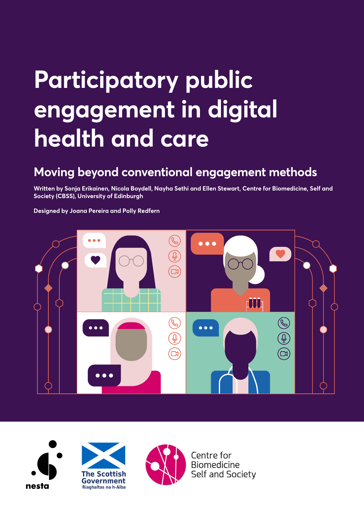### **Moving beyond conventional engagement methods**

**Written by Sonja Erikainen, Nicola Boydell, Nayha Sethi and Ellen Stewart, Centre for Biomedicine, Self and Society (CBSS), University of Edinburgh**

**Designed by Joana Pereira and Polly Redfern**









Centre for **Biomedicine Self and Society**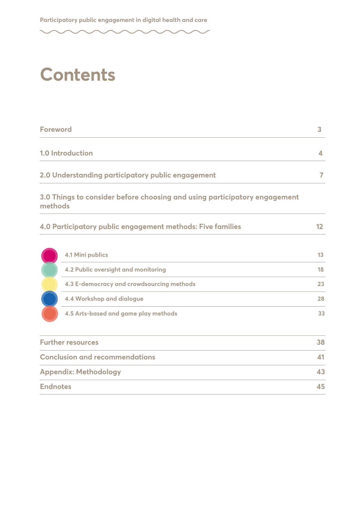### **Contents**

| <b>Foreword</b>                                   |                  |
|---------------------------------------------------|------------------|
| <b>1.0 Introduction</b>                           | $\blacktriangle$ |
| 2.0 Understanding participatory public engagement |                  |

### **3.0 Things to consider before choosing and using participatory engagement methods**

| 4.0 Participatory public engagement methods: Five families |  |  |
|------------------------------------------------------------|--|--|
|                                                            |  |  |

| 4.2 Public oversight and monitoring       | 18 |
|-------------------------------------------|----|
|                                           |    |
| 4.3 E-democracy and crowdsourcing methods | 23 |
| 4.4 Workshop and dialogue                 | 28 |
| 4.5 Arts-based and game play methods      | 33 |
|                                           |    |

| <b>Further resources</b>              | 38 |
|---------------------------------------|----|
| <b>Conclusion and recommendations</b> |    |
| <b>Appendix: Methodology</b>          | 43 |
| <b>Endnotes</b>                       | 45 |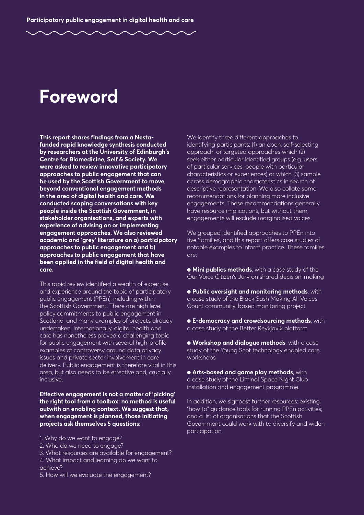### **Foreword**

**This report shares findings from a Nestafunded rapid knowledge synthesis conducted by researchers at the University of Edinburgh's Centre for Biomedicine, Self & Society. We were asked to review innovative participatory approaches to public engagement that can be used by the Scottish Government to move beyond conventional engagement methods in the area of digital health and care. We conducted scoping conversations with key people inside the Scottish Government, in stakeholder organisations, and experts with experience of advising on or implementing engagement approaches. We also reviewed academic and 'grey' literature on a) participatory approaches to public engagement and b) approaches to public engagement that have been applied in the field of digital health and care.** 

This rapid review identified a wealth of expertise and experience around the topic of participatory public engagement (PPEn), including within the Scottish Government. There are high level policy commitments to public engagement in Scotland, and many examples of projects already undertaken. Internationally, digital health and care has nonetheless proved a challenging topic for public engagement with several high-profile examples of controversy around data privacy issues and private sector involvement in care delivery. Public engagement is therefore vital in this area, but also needs to be effective and, crucially, inclusive.

**Effective engagement is not a matter of 'picking' the right tool from a toolbox: no method is useful outwith an enabling context. We suggest that, when engagement is planned, those initiating projects ask themselves 5 questions:**

- 1. Why do we want to engage?
- 2. Who do we need to engage?
- 3. What resources are available for engagement?
- 4. What impact and learning do we want to achieve?
- 5. How will we evaluate the engagement?

We identify three different approaches to identifying participants: (1) an open, self-selecting approach, or targeted approaches which (2) seek either particular identified groups (e.g. users of particular services, people with particular characteristics or experiences) or which (3) sample across demographic characteristics in search of descriptive representation. We also collate some recommendations for planning more inclusive engagements. These recommendations generally have resource implications, but without them, engagements will exclude marginalised voices.

We grouped identified approaches to PPEn into five 'families', and this report offers case studies of notable examples to inform practice. These families are:

● **Mini publics methods**, with a case study of the Our Voice Citizen's Jury on shared decision-making

● **Public oversight and monitoring methods**, with a case study of the Black Sash Making All Voices Count community-based monitoring project

● **E-democracy and crowdsourcing methods**, with a case study of the Better Reykjavik platform

● **Workshop and dialogue methods**, with a case study of the Young Scot technology enabled care workshops

● **Arts-based and game play methods**, with a case study of the Liminal Space Night Club installation and engagement programme.

In addition, we signpost further resources: existing "how to" guidance tools for running PPEn activities; and a list of organisations that the Scottish Government could work with to diversify and widen participation.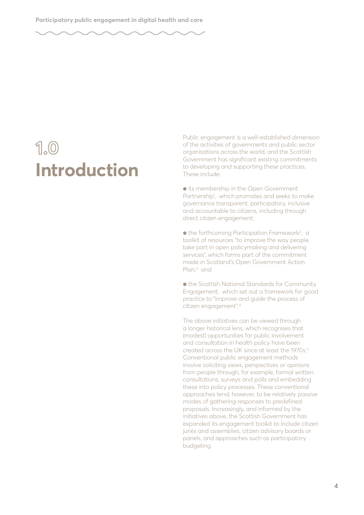# **1.0**

Public engagement is a well-established dimension<br>
of the activities of governments and public sector<br>
organisations across the world, and the Scottish<br>
Government has significant existing commitments<br>
to developing and su of the activities of governments and public sector organisations across the world, and the Scottish Government has significant existing commitments to developing and supporting these practices. These include:

> ● its membership in the Open Government Partnership<sup>1</sup>, which promotes and seeks to make governance transparent, participatory, inclusive and accountable to citizens, including through direct citizen engagement;

● the forthcoming Participation Framework<sup>2</sup>, a toolkit of resources "to improve the way people take part in open policymaking and delivering services", which forms part of the commitment made in Scotland's Open Government Action Plan;<sup>3</sup> and

● the Scottish National Standards for Community Engagement, which set out a framework for good practice to "improve and guide the process of citizen engagement".4

The above initiatives can be viewed through a longer historical lens, which recognises that (modest) opportunities for public involvement and consultation in health policy have been created across the UK since at least the 1970s.<sup>5</sup> Conventional public engagement methods involve soliciting views, perspectives or opinions from people through, for example, formal written consultations, surveys and polls and embedding these into policy processes. These conventional approaches tend, however, to be relatively passive modes of gathering responses to predefined proposals. Increasingly, and informed by the initiatives above, the Scottish Government has expanded its engagement toolkit to include citizen juries and assemblies, citizen advisory boards or panels, and approaches such as participatory budgeting.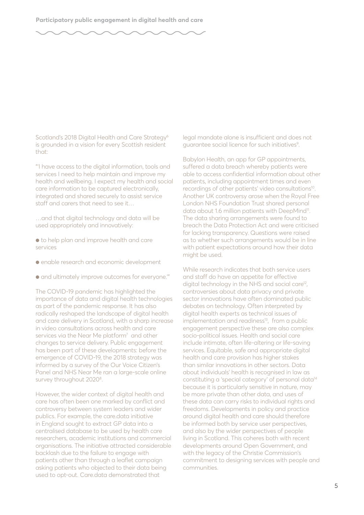

Scotland's 2018 Digital Health and Care Strategy<sup>6</sup> is grounded in a vision for every Scottish resident that:

"'I have access to the digital information, tools and services I need to help maintain and improve my health and wellbeing. I expect my health and social care information to be captured electronically, integrated and shared securely to assist service staff and carers that need to see it…

…and that digital technology and data will be used appropriately and innovatively:

- to help plan and improve health and care services
- enable research and economic development
- $\bullet$  and ultimately improve outcomes for everyone."

The COVID-19 pandemic has highlighted the importance of data and digital health technologies as part of the pandemic response. It has also radically reshaped the landscape of digital health and care delivery in Scotland, with a sharp increase in video consultations across health and care services via the Near Me platform<sup>7</sup> and other changes to service delivery. Public engagement has been part of these developments: before the emergence of COVID-19, the 2018 strategy was informed by a survey of the Our Voice Citizen's Panel and NHS Near Me ran a large-scale online survey throughout 2020<sup>8</sup>.

However, the wider context of digital health and care has often been one marked by conflict and controversy between system leaders and wider publics. For example, the care.data initiative in England sought to extract GP data into a centralised database to be used by health care researchers, academic institutions and commercial organisations. The initiative attracted considerable backlash due to the failure to engage with patients other than through a leaflet campaign asking patients who objected to their data being used to opt-out. Care.data demonstrated that

legal mandate alone is insufficient and does not guarantee social licence for such initiatives<sup>9</sup>.

Babylon Health, an app for GP appointments, suffered a data breach whereby patients were able to access confidential information about other patients, including appointment times and even recordings of other patients' video consultations<sup>10</sup>. Another UK controversy arose when the Royal Free London NHS Foundation Trust shared personal data about 1.6 million patients with DeepMind<sup>11</sup>. The data sharing arrangements were found to breach the Data Protection Act and were criticised for lacking transparency. Questions were raised as to whether such arrangements would be in line with patient expectations around how their data might be used.

While research indicates that both service users and staff do have an appetite for effective digital technology in the NHS and social care<sup>12</sup>, controversies about data privacy and private sector innovations have often dominated public debates on technology. Often interpreted by digital health experts as technical issues of implementation and readiness<sup>13</sup>, from a public engagement perspective these are also complex socio-political issues. Health and social care include intimate, often life-altering or life-saving services. Equitable, safe and appropriate digital health and care provision has higher stakes than similar innovations in other sectors. Data about individuals' health is recognised in law as constituting a 'special category' of personal data14 because it is particularly sensitive in nature, may be more private than other data, and uses of these data can carry risks to individual rights and freedoms. Developments in policy and practice around digital health and care should therefore be informed both by service user perspectives, and also by the wider perspectives of people living in Scotland. This coheres both with recent developments around Open Government, and with the legacy of the Christie Commission's commitment to designing services with people and communities.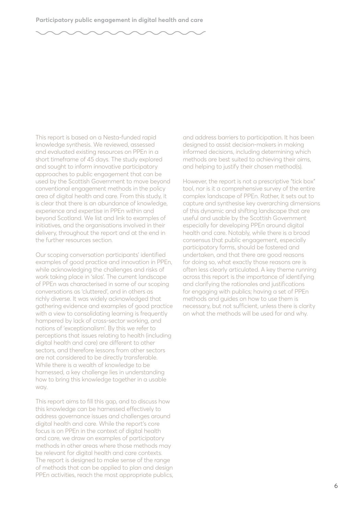This report is based on a Nesta-funded rapid knowledge synthesis. We reviewed, assessed and evaluated existing resources on PPEn in a short timeframe of 45 days. The study explored and sought to inform innovative participatory approaches to public engagement that can be used by the Scottish Government to move beyond conventional engagement methods in the policy area of digital health and care. From this study, it is clear that there is an abundance of knowledge, experience and expertise in PPEn within and beyond Scotland. We list and link to examples of initiatives, and the organisations involved in their delivery, throughout the report and at the end in the further resources section.

Our scoping conversation participants' identified examples of good practice and innovation in PPEn, while acknowledging the challenges and risks of work taking place in 'silos'. The current landscape of PPEn was characterised in some of our scoping conversations as 'cluttered', and in others as richly diverse. It was widely acknowledged that gathering evidence and examples of good practice with a view to consolidating learning is frequently hampered by lack of cross-sector working, and notions of 'exceptionalism'. By this we refer to perceptions that issues relating to health (including digital health and care) are different to other sectors, and therefore lessons from other sectors are not considered to be directly transferable. While there is a wealth of knowledge to be harnessed, a key challenge lies in understanding how to bring this knowledge together in a usable way.

This report aims to fill this gap, and to discuss how this knowledge can be harnessed effectively to address governance issues and challenges around digital health and care. While the report's core focus is on PPEn in the context of digital health and care, we draw on examples of participatory methods in other areas where those methods may be relevant for digital health and care contexts. The report is designed to make sense of the range of methods that can be applied to plan and design PPEn activities, reach the most appropriate publics,

and address barriers to participation. It has been designed to assist decision-makers in making informed decisions, including determining which methods are best suited to achieving their aims, and helping to justify their chosen method(s).

However, the report is not a prescriptive "tick box" tool, nor is it a comprehensive survey of the entire complex landscape of PPEn. Rather, it sets out to capture and synthesise key overarching dimensions of this dynamic and shifting landscape that are useful and usable by the Scottish Government especially for developing PPEn around digital health and care. Notably, while there is a broad consensus that public engagement, especially participatory forms, should be fostered and undertaken, and that there are good reasons for doing so, what exactly those reasons are is often less clearly articulated. A key theme running across this report is the importance of identifying and clarifying the rationales and justifications for engaging with publics; having a set of PPEn methods and guides on how to use them is necessary, but not sufficient, unless there is clarity on what the methods will be used for and why.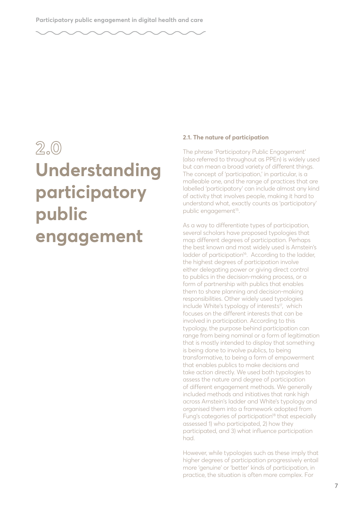### **2.0 Understanding participatory public engagement**

#### **2.1. The nature of participation**

The phrase 'Participatory Public Engagement' (also referred to throughout as PPEn) is widely used but can mean a broad variety of different things. The concept of 'participation,' in particular, is a malleable one, and the range of practices that are labelled 'participatory' can include almost any kind of activity that involves people, making it hard to understand what, exactly counts as 'participatory' public engagement<sup>15</sup>.

As a way to differentiate types of participation, several scholars have proposed typologies that map different degrees of participation. Perhaps the best known and most widely used is Arnstein's ladder of participation<sup>16</sup>. According to the ladder, the highest degrees of participation involve either delegating power or giving direct control to publics in the decision-making process, or a form of partnership with publics that enables them to share planning and decision-making responsibilities. Other widely used typologies include White's typology of interests<sup>17</sup>, which focuses on the different interests that can be involved in participation. According to this typology, the purpose behind participation can range from being nominal or a form of legitimation that is mostly intended to display that something is being done to involve publics, to being transformative, to being a form of empowerment that enables publics to make decisions and take action directly. We used both typologies to assess the nature and degree of participation of different engagement methods. We generally included methods and initiatives that rank high across Arnstein's ladder and White's typology and organised them into a framework adopted from Fung's categories of participation<sup>18</sup> that especially assessed 1) who participated, 2) how they participated, and 3) what influence participation had.

However, while typologies such as these imply that higher degrees of participation progressively entail more 'genuine' or 'better' kinds of participation, in practice, the situation is often more complex. For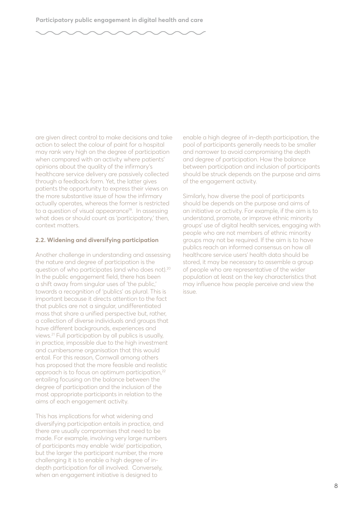are given direct control to make decisions and take action to select the colour of paint for a hospital may rank very high on the degree of participation when compared with an activity where patients' opinions about the quality of the infirmary's healthcare service delivery are passively collected through a feedback form. Yet, the latter gives patients the opportunity to express their views on the more substantive issue of how the infirmary actually operates, whereas the former is restricted to a question of visual appearance<sup>19</sup>. In assessing what does or should count as 'participatory,' then, context matters.

#### **2.2. Widening and diversifying participation**

Another challenge in understanding and assessing the nature and degree of participation is the question of who participates (and who does not).20 In the public engagement field, there has been a shift away from singular uses of 'the public,' towards a recognition of 'publics' as plural. This is important because it directs attention to the fact that publics are not a singular, undifferentiated mass that share a unified perspective but, rather, a collection of diverse individuals and groups that have different backgrounds, experiences and views.21 Full participation by all publics is usually, in practice, impossible due to the high investment and cumbersome organisation that this would entail. For this reason, Cornwall among others has proposed that the more feasible and realistic approach is to focus on optimum participation,22 entailing focusing on the balance between the degree of participation and the inclusion of the most appropriate participants in relation to the aims of each engagement activity.

This has implications for what widening and diversifying participation entails in practice, and there are usually compromises that need to be made. For example, involving very large numbers of participants may enable 'wide' participation, but the larger the participant number, the more challenging it is to enable a high degree of indepth participation for all involved. Conversely, when an engagement initiative is designed to

enable a high degree of in-depth participation, the pool of participants generally needs to be smaller and narrower to avoid compromising the depth and degree of participation. How the balance between participation and inclusion of participants should be struck depends on the purpose and aims of the engagement activity.

Similarly, how diverse the pool of participants should be depends on the purpose and aims of an initiative or activity. For example, if the aim is to understand, promote, or improve ethnic minority groups' use of digital health services, engaging with people who are not members of ethnic minority groups may not be required. If the aim is to have publics reach an informed consensus on how all healthcare service users' health data should be stored, it may be necessary to assemble a group of people who are representative of the wider population at least on the key characteristics that may influence how people perceive and view the issue.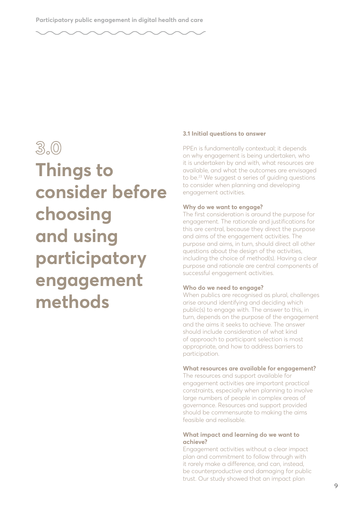### **3.0 Things to consider before choosing and using participatory engagement methods**

#### **3.1 Initial questions to answer**

PPEn is fundamentally contextual; it depends on why engagement is being undertaken, who it is undertaken by and with, what resources are available, and what the outcomes are envisaged to be.<sup>23</sup> We suggest a series of quiding questions to consider when planning and developing engagement activities.

#### **Why do we want to engage?**

The first consideration is around the purpose for engagement. The rationale and justifications for this are central, because they direct the purpose and aims of the engagement activities. The purpose and aims, in turn, should direct all other questions about the design of the activities, including the choice of method(s). Having a clear purpose and rationale are central components of successful engagement activities.

#### **Who do we need to engage?**

When publics are recognised as plural, challenges arise around identifying and deciding which public(s) to engage with. The answer to this, in turn, depends on the purpose of the engagement and the aims it seeks to achieve. The answer should include consideration of what kind of approach to participant selection is most appropriate, and how to address barriers to participation.

#### **What resources are available for engagement?**

The resources and support available for engagement activities are important practical constraints, especially when planning to involve large numbers of people in complex areas of governance. Resources and support provided should be commensurate to making the aims feasible and realisable.

#### **What impact and learning do we want to achieve?**

Engagement activities without a clear impact plan and commitment to follow through with it rarely make a difference, and can, instead, be counterproductive and damaging for public trust. Our study showed that an impact plan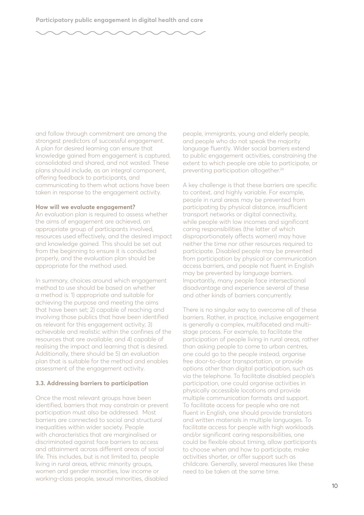and follow through commitment are among the strongest predictors of successful engagement. A plan for desired learning can ensure that knowledge gained from engagement is captured, consolidated and shared, and not wasted. These plans should include, as an integral component, offering feedback to participants, and communicating to them what actions have been taken in response to the engagement activity.

#### **How will we evaluate engagement?**

An evaluation plan is required to assess whether the aims of engagement are achieved, an appropriate group of participants involved, resources used effectively, and the desired impact and knowledge gained. This should be set out from the beginning to ensure it is conducted properly, and the evaluation plan should be appropriate for the method used.

In summary, choices around which engagement method to use should be based on whether a method is: 1) appropriate and suitable for achieving the purpose and meeting the aims that have been set; 2) capable of reaching and involving those publics that have been identified as relevant for this engagement activity; 3) achievable and realistic within the confines of the resources that are available; and 4) capable of realising the impact and learning that is desired. Additionally, there should be 5) an evaluation plan that is suitable for the method and enables assessment of the engagement activity.

#### **3.3. Addressing barriers to participation**

Once the most relevant groups have been identified, barriers that may constrain or prevent participation must also be addressed. Most barriers are connected to social and structural inequalities within wider society. People with characteristics that are marginalised or discriminated against face barriers to access and attainment across different areas of social life. This includes, but is not limited to, people living in rural areas, ethnic minority groups, women and gender minorities, low income or working-class people, sexual minorities, disabled

people, immigrants, young and elderly people, and people who do not speak the majority language fluently. Wider social barriers extend to public engagement activities, constraining the extent to which people are able to participate, or preventing participation altogether.<sup>24</sup>

A key challenge is that these barriers are specific to context, and highly variable. For example, people in rural areas may be prevented from participating by physical distance, insufficient transport networks or digital connectivity, while people with low incomes and significant caring responsibilities (the latter of which disproportionately affects women) may have neither the time nor other resources required to participate. Disabled people may be prevented from participation by physical or communication access barriers, and people not fluent in English may be prevented by language barriers. Importantly, many people face intersectional disadvantage and experience several of these and other kinds of barriers concurrently.

There is no singular way to overcome all of these barriers. Rather, in practice, inclusive engagement is generally a complex, multifaceted and multistage process. For example, to facilitate the participation of people living in rural areas, rather than asking people to come to urban centres, one could go to the people instead, organise free door-to-door transportation, or provide options other than digital participation, such as via the telephone. To facilitate disabled people's participation, one could organise activities in physically accessible locations and provide multiple communication formats and support. To facilitate access for people who are not fluent in English, one should provide translators and written materials in multiple languages. To facilitate access for people with high workloads and/or significant caring responsibilities, one could be flexible about timing, allow participants to choose when and how to participate, make activities shorter, or offer support such as childcare. Generally, several measures like these need to be taken at the same time.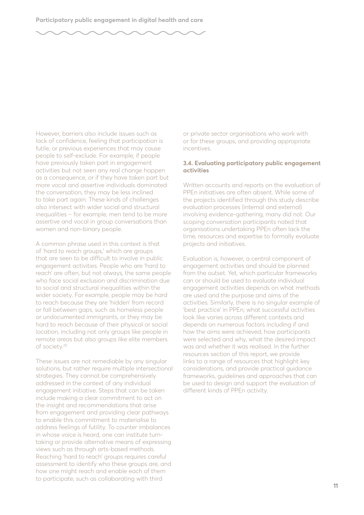However, barriers also include issues such as lack of confidence, feeling that participation is futile, or previous experiences that may cause people to self-exclude. For example, if people have previously taken part in engagement activities but not seen any real change happen as a consequence, or if they have taken part but more vocal and assertive individuals dominated the conversation, they may be less inclined to take part again. These kinds of challenges also intersect with wider social and structural inequalities – for example, men tend to be more assertive and vocal in group conversations than women and non-binary people.

A common phrase used in this context is that of 'hard to reach groups,' which are groups that are seen to be difficult to involve in public engagement activities. People who are 'hard to reach' are often, but not always, the same people who face social exclusion and discrimination due to social and structural inequalities within the wider society. For example, people may be hard to reach because they are 'hidden' from record or fall between gaps, such as homeless people or undocumented immigrants, or they may be hard to reach because of their physical or social location, including not only groups like people in remote areas but also groups like elite members of society.25

These issues are not remediable by any singular solutions, but rather require multiple intersectional strategies. They cannot be comprehensively addressed in the context of any individual engagement initiative. Steps that can be taken include making a clear commitment to act on the insight and recommendations that arise from engagement and providing clear pathways to enable this commitment to materialise to address feelings of futility. To counter imbalances in whose voice is heard, one can institute turntaking or provide alternative means of expressing views such as through arts-based methods. Reaching 'hard to reach' groups requires careful assessment to identify who these groups are, and how one might reach and enable each of them to participate, such as collaborating with third

or private sector organisations who work with or for these groups, and providing appropriate incentives.

#### **3.4. Evaluating participatory public engagement activities**

Written accounts and reports on the evaluation of PPEn initiatives are often absent. While some of the projects identified through this study describe evaluation processes (internal and external) involving evidence-gathering, many did not. Our scoping conversation participants noted that organisations undertaking PPEn often lack the time, resources and expertise to formally evaluate projects and initiatives.

Evaluation is, however, a central component of engagement activities and should be planned from the outset. Yet, which particular frameworks can or should be used to evaluate individual engagement activities depends on what methods are used and the purpose and aims of the activities. Similarly, there is no singular example of 'best practice' in PPEn; what successful activities look like varies across different contexts and depends on numerous factors including if and how the aims were achieved, how participants were selected and why, what the desired impact was and whether it was realised. In the further resources section of this report, we provide links to a range of resources that highlight key considerations, and provide practical guidance frameworks, guidelines and approaches that can be used to design and support the evaluation of different kinds of PPEn activity.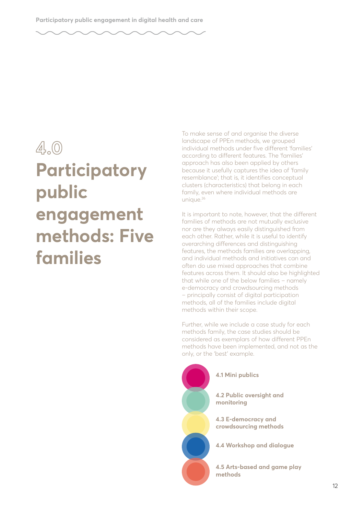### **4.0 Participatory public engagement methods: Five families**

To make sense of and organise the diverse landscape of PPEn methods, we grouped individual methods under five different 'families' according to different features. The 'families' approach has also been applied by others because it usefully captures the idea of 'family resemblance'; that is, it identifies conceptual clusters (characteristics) that belong in each family, even where individual methods are unique.<sup>26</sup>

It is important to note, however, that the different families of methods are not mutually exclusive nor are they always easily distinguished from each other. Rather, while it is useful to identify overarching differences and distinguishing features, the methods families are overlapping, and individual methods and initiatives can and often do use mixed approaches that combine features across them. It should also be highlighted that while one of the below families – namely e-democracy and crowdsourcing methods – principally consist of digital participation methods, all of the families include digital methods within their scope.

Further, while we include a case study for each methods family, the case studies should be considered as exemplars of how different PPEn methods have been implemented, and not as the only, or the 'best' example.



#### **4.1 Mini publics**

**4.2 Public oversight and monitoring**

**4.3 E-democracy and crowdsourcing methods**

**4.4 Workshop and dialogue**

**4.5 Arts-based and game play methods**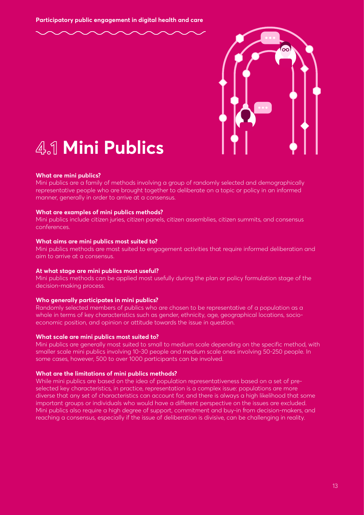

### **4.1 Mini Publics**

#### **What are mini publics?**

Mini publics are a family of methods involving a group of randomly selected and demographically representative people who are brought together to deliberate on a topic or policy in an informed manner, generally in order to arrive at a consensus.

#### **What are examples of mini publics methods?**

Mini publics include citizen juries, citizen panels, citizen assemblies, citizen summits, and consensus conferences.

#### **What aims are mini publics most suited to?**

Mini publics methods are most suited to engagement activities that require informed deliberation and aim to arrive at a consensus.

#### **At what stage are mini publics most useful?**

Mini publics methods can be applied most usefully during the plan or policy formulation stage of the decision-making process.

#### **Who generally participates in mini publics?**

Randomly selected members of publics who are chosen to be representative of a population as a whole in terms of key characteristics such as gender, ethnicity, age, geographical locations, socioeconomic position, and opinion or attitude towards the issue in question.

#### **What scale are mini publics most suited to?**

Mini publics are generally most suited to small to medium scale depending on the specific method, with smaller scale mini publics involving 10-30 people and medium scale ones involving 50-250 people. In some cases, however, 500 to over 1000 participants can be involved.

#### **What are the limitations of mini publics methods?**

While mini publics are based on the idea of population representativeness based on a set of preselected key characteristics, in practice, representation is a complex issue: populations are more diverse that any set of characteristics can account for, and there is always a high likelihood that some important groups or individuals who would have a different perspective on the issues are excluded. Mini publics also require a high degree of support, commitment and buy-in from decision-makers, and reaching a consensus, especially if the issue of deliberation is divisive, can be challenging in reality.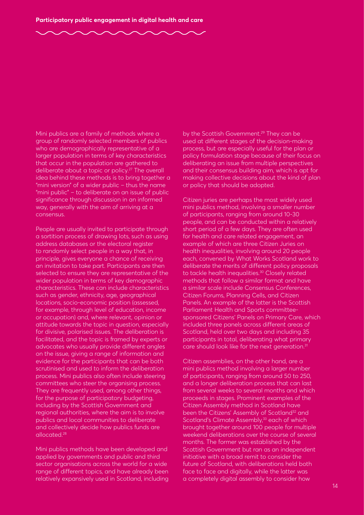Mini publics are a family of methods where a group of randomly selected members of publics who are demographically representative of a larger population in terms of key characteristics that occur in the population are gathered to deliberate about a topic or policy.<sup>27</sup> The overall idea behind these methods is to bring together a "mini version" of a wider public – thus the name "mini public" – to deliberate on an issue of public significance through discussion in an informed way, generally with the aim of arriving at a consensus.

People are usually invited to participate through a sortition process of drawing lots, such as using address databases or the electoral register to randomly select people in a way that, in principle, gives everyone a chance of receiving an invitation to take part. Participants are then selected to ensure they are representative of the wider population in terms of key demographic characteristics. These can include characteristics such as gender, ethnicity, age, geographical locations, socio-economic position (assessed, for example, through level of education, income or occupation) and, where relevant, opinion or attitude towards the topic in question, especially for divisive, polarised issues. The deliberation is facilitated, and the topic is framed by experts or advocates who usually provide different angles on the issue, giving a range of information and evidence for the participants that can be both scrutinised and used to inform the deliberation process. Mini publics also often include steering committees who steer the organising process. They are frequently used, among other things, for the purpose of participatory budgeting, including by the Scottish Government and regional authorities, where the aim is to involve publics and local communities to deliberate and collectively decide how publics funds are allocated.28

Mini publics methods have been developed and applied by governments and public and third sector organisations across the world for a wide range of different topics, and have already been relatively expansively used in Scotland, including by the Scottish Government.<sup>29</sup> They can be used at different stages of the decision-making process, but are especially useful for the plan or policy formulation stage because of their focus on deliberating an issue from multiple perspectives and their consensus building aim, which is apt for making collective decisions about the kind of plan or policy that should be adopted.

Citizen juries are perhaps the most widely used mini publics method, involving a smaller number of participants, ranging from around 10-30 people, and can be conducted within a relatively short period of a few days. They are often used for health and care related engagement, an example of which are three Citizen Juries on health inequalities, involving around 20 people each, convened by What Works Scotland work to deliberate the merits of different policy proposals to tackle health inequalities.<sup>30</sup> Closely related methods that follow a similar format and have a similar scale include Consensus Conferences, Citizen Forums, Planning Cells, and Citizen Panels. An example of the latter is the Scottish Parliament Health and Sports committeesponsored Citizens' Panels on Primary Care, which included three panels across different areas of Scotland, held over two days and including 35 participants in total, deliberating what primary care should look like for the next generation.<sup>31</sup>

Citizen assemblies, on the other hand, are a mini publics method involving a larger number of participants, ranging from around 50 to 250, and a longer deliberation process that can last from several weeks to several months and which proceeds in stages. Prominent examples of the Citizen Assembly method in Scotland have been the Citizens' Assembly of Scotland<sup>32</sup> and Scotland's Climate Assembly,<sup>33</sup> each of which brought together around 100 people for multiple weekend deliberations over the course of several months. The former was established by the Scottish Government but ran as an independent initiative with a broad remit to consider the future of Scotland, with deliberations held both face to face and digitally, while the latter was a completely digital assembly to consider how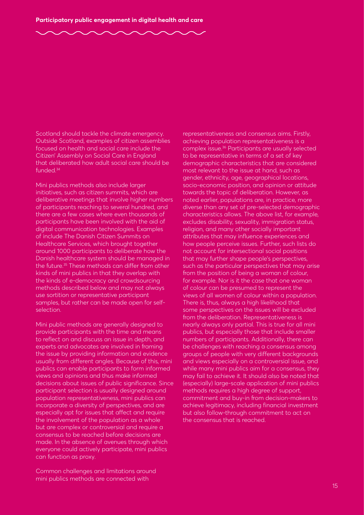Scotland should tackle the climate emergency. Outside Scotland, examples of citizen assemblies focused on health and social care include the Citizen' Assembly on Social Care in England that deliberated how adult social care should be funded.34

Mini publics methods also include larger initiatives, such as citizen summits, which are deliberative meetings that involve higher numbers of participants reaching to several hundred, and there are a few cases where even thousands of participants have been involved with the aid of digital communication technologies. Examples of include The Danish Citizen Summits on Healthcare Services, which brought together around 1000 participants to deliberate how the Danish healthcare system should be managed in the future.<sup>35</sup> These methods can differ from other kinds of mini publics in that they overlap with the kinds of e-democracy and crowdsourcing methods described below and may not always use sortition or representative participant samples, but rather can be made open for selfselection.

Mini public methods are generally designed to provide participants with the time and means to reflect on and discuss an issue in depth, and experts and advocates are involved in framing the issue by providing information and evidence usually from different angles. Because of this, mini publics can enable participants to form informed views and opinions and thus make informed decisions about issues of public significance. Since participant selection is usually designed around population representativeness, mini publics can incorporate a diversity of perspectives, and are especially apt for issues that affect and require the involvement of the population as a whole but are complex or controversial and require a consensus to be reached before decisions are made. In the absence of avenues through which everyone could actively participate, mini publics can function as proxy.

Common challenges and limitations around mini publics methods are connected with

representativeness and consensus aims. Firstly, achieving population representativeness is a complex issue.36 Participants are usually selected to be representative in terms of a set of key demographic characteristics that are considered most relevant to the issue at hand, such as gender, ethnicity, age, geographical locations, socio-economic position, and opinion or attitude towards the topic of deliberation. However, as noted earlier, populations are, in practice, more diverse than any set of pre-selected demographic characteristics allows. The above list, for example, excludes disability, sexuality, immigration status, religion, and many other socially important attributes that may influence experiences and how people perceive issues. Further, such lists do not account for intersectional social positions that may further shape people's perspectives, such as the particular perspectives that may arise from the position of being a woman of colour, for example. Nor is it the case that one woman of colour can be presumed to represent the views of all women of colour within a population. There is, thus, always a high likelihood that some perspectives on the issues will be excluded from the deliberation. Representativeness is nearly always only partial. This is true for all mini publics, but especially those that include smaller numbers of participants. Additionally, there can be challenges with reaching a consensus among groups of people with very different backgrounds and views especially on a controversial issue, and while many mini publics aim for a consensus, they may fail to achieve it. It should also be noted that (especially) large-scale application of mini publics methods requires a high degree of support, commitment and buy-in from decision-makers to achieve legitimacy, including financial investment but also follow-through commitment to act on the consensus that is reached.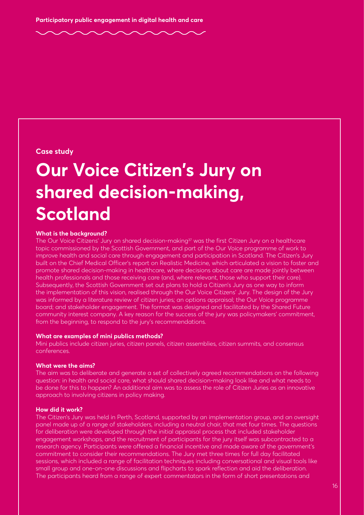#### **Case study**

### **Our Voice Citizen's Jury on shared decision-making, Scotland**

#### **What is the background?**

The Our Voice Citizens' Jury on shared decision-making<sup>37</sup> was the first Citizen Jury on a healthcare topic commissioned by the Scottish Government, and part of the Our Voice programme of work to improve health and social care through engagement and participation in Scotland. The Citizen's Jury built on the Chief Medical Officer's report on Realistic Medicine, which articulated a vision to foster and promote shared decision-making in healthcare, where decisions about care are made jointly between health professionals and those receiving care (and, where relevant, those who support their care). Subsequently, the Scottish Government set out plans to hold a Citizen's Jury as one way to inform the implementation of this vision, realised through the Our Voice Citizens' Jury. The design of the Jury was informed by a literature review of citizen juries; an options appraisal; the Our Voice programme board; and stakeholder engagement. The format was designed and facilitated by the Shared Future community interest company. A key reason for the success of the jury was policymakers' commitment, from the beginning, to respond to the jury's recommendations.

#### **What are examples of mini publics methods?**

Mini publics include citizen juries, citizen panels, citizen assemblies, citizen summits, and consensus conferences.

#### **What were the aims?**

The aim was to deliberate and generate a set of collectively agreed recommendations on the following question: in health and social care, what should shared decision-making look like and what needs to be done for this to happen? An additional aim was to assess the role of Citizen Juries as an innovative approach to involving citizens in policy making.

#### **How did it work?**

The Citizen's Jury was held in Perth, Scotland, supported by an implementation group, and an oversight panel made up of a range of stakeholders, including a neutral chair, that met four times. The questions for deliberation were developed through the initial appraisal process that included stakeholder engagement workshops, and the recruitment of participants for the jury itself was subcontracted to a research agency. Participants were offered a financial incentive and made aware of the government's commitment to consider their recommendations. The Jury met three times for full day facilitated sessions, which included a range of facilitation techniques including conversational and visual tools like small group and one-on-one discussions and flipcharts to spark reflection and aid the deliberation. The participants heard from a range of expert commentators in the form of short presentations and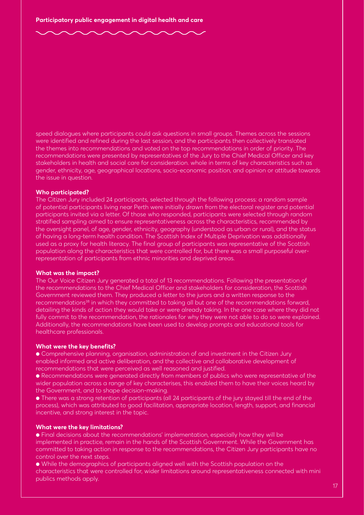speed dialogues where participants could ask questions in small groups. Themes across the sessions were identified and refined during the last session, and the participants then collectively translated the themes into recommendations and voted on the top recommendations in order of priority. The recommendations were presented by representatives of the Jury to the Chief Medical Officer and key stakeholders in health and social care for consideration. whole in terms of key characteristics such as gender, ethnicity, age, geographical locations, socio-economic position, and opinion or attitude towards the issue in question.

#### **Who participated?**

The Citizen Jury included 24 participants, selected through the following process: a random sample of potential participants living near Perth were initially drawn from the electoral register and potential participants invited via a letter. Of those who responded, participants were selected through random stratified sampling aimed to ensure representativeness across the characteristics, recommended by the oversight panel, of age, gender, ethnicity, geography (understood as urban or rural), and the status of having a long-term health condition. The Scottish Index of Multiple Deprivation was additionally used as a proxy for health literacy. The final group of participants was representative of the Scottish population along the characteristics that were controlled for, but there was a small purposeful overrepresentation of participants from ethnic minorities and deprived areas.

#### **What was the impact?**

The Our Voice Citizen Jury generated a total of 13 recommendations. Following the presentation of the recommendations to the Chief Medical Officer and stakeholders for consideration, the Scottish Government reviewed them. They produced a letter to the jurors and a written response to the recommendations<sup>38</sup> in which they committed to taking all but one of the recommendations forward, detailing the kinds of action they would take or were already taking. In the one case where they did not fully commit to the recommendation, the rationales for why they were not able to do so were explained. Additionally, the recommendations have been used to develop prompts and educational tools for healthcare professionals.

#### **What were the key benefits?**

● Comprehensive planning, organisation, administration of and investment in the Citizen Jury enabled informed and active deliberation, and the collective and collaborative development of recommendations that were perceived as well reasoned and justified.

● Recommendations were generated directly from members of publics who were representative of the wider population across a range of key characterises, this enabled them to have their voices heard by the Government, and to shape decision-making.

● There was a strong retention of participants (all 24 participants of the jury stayed till the end of the process), which was attributed to good facilitation, appropriate location, length, support, and financial incentive, and strong interest in the topic.

#### **What were the key limitations?**

● Final decisions about the recommendations' implementation, especially how they will be implemented in practice, remain in the hands of the Scottish Government. While the Government has committed to taking action in response to the recommendations, the Citizen Jury participants have no control over the next steps.

● While the demographics of participants aligned well with the Scottish population on the characteristics that were controlled for, wider limitations around representativeness connected with mini publics methods apply.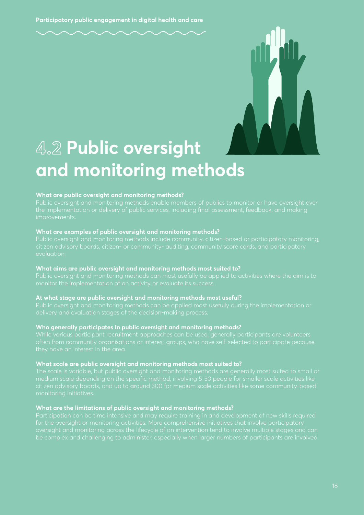

### **4.2 Public oversight and monitoring methods**

#### **What are public oversight and monitoring methods?**

#### **What are examples of public oversight and monitoring methods?**

Public oversight and monitoring methods include community, citizen-based or participatory monitoring,

#### **What aims are public oversight and monitoring methods most suited to?**

#### **At what stage are public oversight and monitoring methods most useful?**

Public oversight and monitoring methods can be applied most usefully during the implementation or

#### **Who generally participates in public oversight and monitoring methods?**

While various participant recruitment approaches can be used, generally participants are volunteers,

#### **What scale are public oversight and monitoring methods most suited to?**

#### **What are the limitations of public oversight and monitoring methods?**

Participation can be time intensive and may require training in and development of new skills required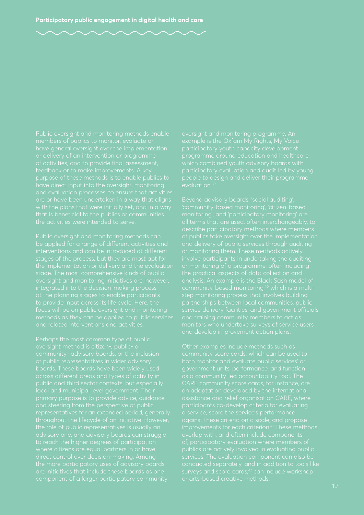that is beneficial to the publics or communities

across different areas and types of activity in public and third sector contexts, but especially the role of public representatives is usually an advisory one, and advisory boards can struggle people to design and deliver their programme

monitoring', and 'participatory monitoring' are the practical aspects of data collection and

Other examples include methods such as assistance and relief organisation CARE, where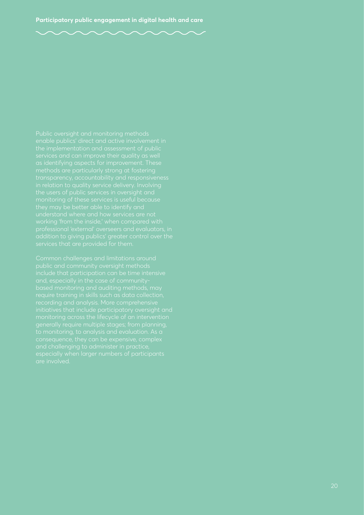public and community oversight methods include that participation can be time intensive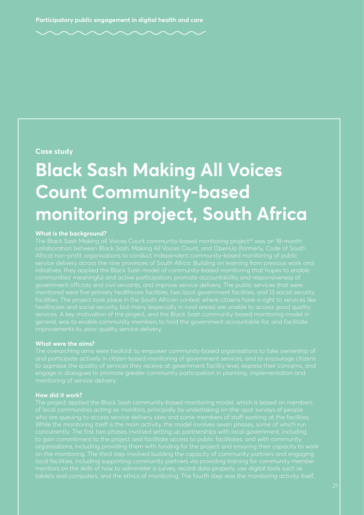#### **Case study**

### **Black Sash Making All Voices Count Community-based monitoring project, South Africa**

#### **What is the background?**

Africa) non-profit organisations to conduct independent community-based monitoring of public healthcare and social security, but many (especially in rural areas) are unable to access good quality services. A key motivation of the project, and the Black Sash community-based monitoring model in

#### **What were the aims?**

and participate actively in citizen-based monitoring of government services, and to encourage citizens to appraise the quality of services they receive at government facility level, express their concerns, and

#### **How did it work?**

who are queuing to access service delivery sites and some members of staff working at the facilities. monitors on the skills of how to administer a survey, record data properly, use digital tools such as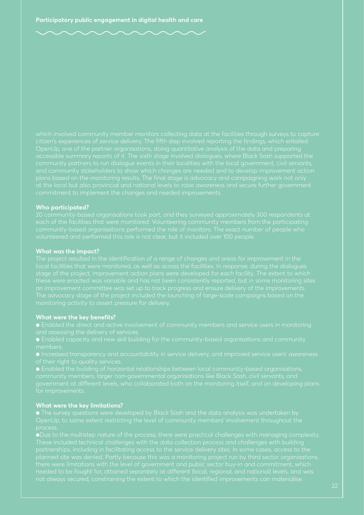accessible summary reports of it. The sixth stage involved dialogues, where Black Sash supported the

#### **Who participated?**

20 community-based organisations took part, and they surveyed approximately 300 respondents at

#### **What was the impact?**

local facilities that were monitored, as well as across the facilities. In response, during the dialogues

#### **What were the key benefits?**

- 
- Enabled capacity and new skill building for the community-based organisations and community
- 
- Enabled the building of horizontal relationships between local community-based organisations,

#### **What were the key limitations?**

process.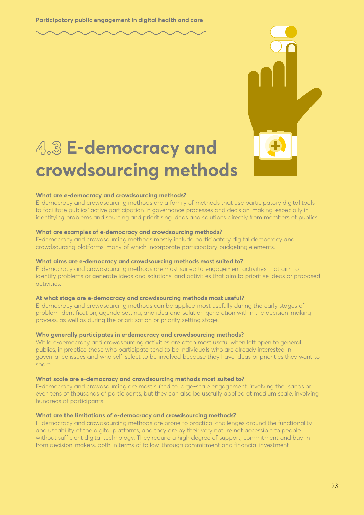### **4.3 E-democracy and crowdsourcing methods**

#### **What are e-democracy and crowdsourcing methods?**

E-democracy and crowdsourcing methods are a family of methods that use participatory digital tools to facilitate publics' active participation in governance processes and decision-making, especially in identifying problems and sourcing and prioritising ideas and solutions directly from members of publics.

#### **What are examples of e-democracy and crowdsourcing methods?**

E-democracy and crowdsourcing methods mostly include participatory digital democracy and crowdsourcing platforms, many of which incorporate participatory budgeting elements.

#### **What aims are e-democracy and crowdsourcing methods most suited to?**

E-democracy and crowdsourcing methods are most suited to engagement activities that aim to identify problems or generate ideas and solutions, and activities that aim to prioritise ideas or proposed activities.

#### **At what stage are e-democracy and crowdsourcing methods most useful?**

E-democracy and crowdsourcing methods can be applied most usefully during the early stages of problem identification, agenda setting, and idea and solution generation within the decision-making process, as well as during the prioritisation or priority setting stage.

#### **Who generally participates in e-democracy and crowdsourcing methods?**

While e-democracy and crowdsourcing activities are often most useful when left open to general publics, in practice those who participate tend to be individuals who are already interested in governance issues and who self-select to be involved because they have ideas or priorities they want to share.

#### **What scale are e-democracy and crowdsourcing methods most suited to?**

E-democracy and crowdsourcing are most suited to large-scale engagement, involving thousands or even tens of thousands of participants, but they can also be usefully applied at medium scale, involving hundreds of participants.

#### **What are the limitations of e-democracy and crowdsourcing methods?**

E-democracy and crowdsourcing methods are prone to practical challenges around the functionality and useability of the digital platforms, and they are by their very nature not accessible to people without sufficient digital technology. They require a high degree of support, commitment and buy-in from decision-makers, both in terms of follow-through commitment and financial investment.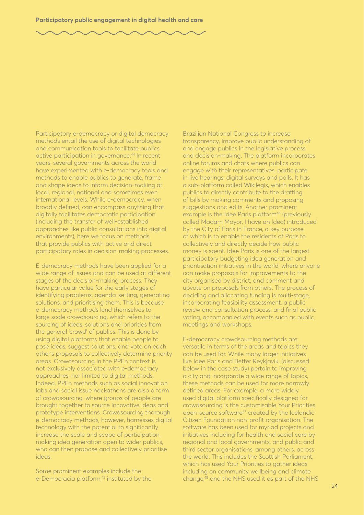Participatory e-democracy or digital democracy methods entail the use of digital technologies and communication tools to facilitate publics' active participation in governance.44 In recent years, several governments across the world have experimented with e-democracy tools and methods to enable publics to generate, frame and shape ideas to inform decision-making at local, regional, national and sometimes even international levels. While e-democracy, when broadly defined, can encompass anything that digitally facilitates democratic participation (including the transfer of well-established approaches like public consultations into digital environments), here we focus on methods that provide publics with active and direct participatory roles in decision-making processes.

E-democracy methods have been applied for a wide range of issues and can be used at different stages of the decision-making process. They have particular value for the early stages of identifying problems, agenda-setting, generating solutions, and prioritising them. This is because e-democracy methods lend themselves to large scale crowdsourcing, which refers to the sourcing of ideas, solutions and priorities from the general 'crowd' of publics. This is done by using digital platforms that enable people to pose ideas, suggest solutions, and vote on each other's proposals to collectively determine priority areas. Crowdsourcing in the PPEn context is not exclusively associated with e-democracy approaches, nor limited to digital methods. Indeed, PPEn methods such as social innovation labs and social issue hackathons are also a form of crowdsourcing, where groups of people are brought together to source innovative ideas and prototype interventions. Crowdsourcing thorough e-democracy methods, however, harnesses digital technology with the potential to significantly increase the scale and scope of participation, making idea generation open to wider publics, who can then propose and collectively prioritise ideas.

Some prominent examples include the e-Democracia platform,<sup>45</sup> instituted by the Brazilian National Congress to increase transparency, improve public understanding of and engage publics in the legislative process and decision-making. The platform incorporates online forums and chats where publics can engage with their representatives, participate in live hearings, digital surveys and polls. It has a sub-platform called Wikilegis, which enables publics to directly contribute to the drafting of bills by making comments and proposing suggestions and edits. Another prominent example is the Idee Paris platform<sup>46</sup> (previously called Madam Mayor, I have an Idea) introduced by the City of Paris in France, a key purpose of which is to enable the residents of Paris to collectively and directly decide how public money is spent. Idee Paris is one of the largest participatory budgeting idea generation and prioritisation initiatives in the world, where anyone can make proposals for improvements to the city organised by district, and comment and upvote on proposals from others. The process of deciding and allocating funding is multi-stage, incorporating feasibility assessment, a public review and consultation process, and final public voting, accompanied with events such as public meetings and workshops.

E-democracy crowdsourcing methods are versatile in terms of the areas and topics they can be used for. While many larger initiatives like Idee Paris and Better Reykjavik, (discussed below in the case study) pertain to improving a city and incorporate a wide range of topics, these methods can be used for more narrowly defined areas. For example, a more widely used digital platform specifically designed for crowdsourcing is the customisable Your Priorities open-source software<sup>47</sup> created by the Icelandic Citizen Foundation non-profit organisation. The software has been used for myriad projects and initiatives including for health and social care by regional and local governments, and public and third sector organisations, among others, across the world. This includes the Scottish Parliament, which has used Your Priorities to gather ideas including on community wellbeing and climate change,48 and the NHS used it as part of the NHS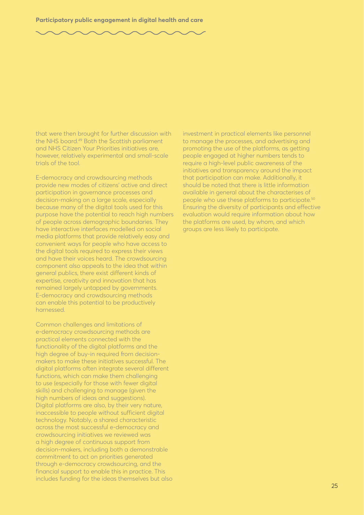that were then brought for further discussion with the NHS board.49 Both the Scottish parliament and NHS Citizen Your Priorities initiatives are, however, relatively experimental and small-scale trials of the tool.

E-democracy and crowdsourcing methods provide new modes of citizens' active and direct participation in governance processes and decision-making on a large scale, especially because many of the digital tools used for this purpose have the potential to reach high numbers of people across demographic boundaries. They have interactive interfaces modelled on social media platforms that provide relatively easy and convenient ways for people who have access to the digital tools required to express their views and have their voices heard. The crowdsourcing component also appeals to the idea that within general publics, there exist different kinds of expertise, creativity and innovation that has remained largely untapped by governments. E-democracy and crowdsourcing methods can enable this potential to be productively harnessed.

Common challenges and limitations of e-democracy crowdsourcing methods are practical elements connected with the functionality of the digital platforms and the high degree of buy-in required from decisionmakers to make these initiatives successful. The digital platforms often integrate several different functions, which can make them challenging to use (especially for those with fewer digital skills) and challenging to manage (given the high numbers of ideas and suggestions). Digital platforms are also, by their very nature, inaccessible to people without sufficient digital technology. Notably, a shared characteristic across the most successful e-democracy and crowdsourcing initiatives we reviewed was a high degree of continuous support from decision-makers, including both a demonstrable commitment to act on priorities generated through e-democracy crowdsourcing, and the financial support to enable this in practice. This includes funding for the ideas themselves but also

investment in practical elements like personnel to manage the processes, and advertising and promoting the use of the platforms, as getting people engaged at higher numbers tends to require a high-level public awareness of the initiatives and transparency around the impact that participation can make. Additionally, it should be noted that there is little information available in general about the characterises of people who use these platforms to participate.50 Ensuring the diversity of participants and effective evaluation would require information about how the platforms are used, by whom, and which groups are less likely to participate.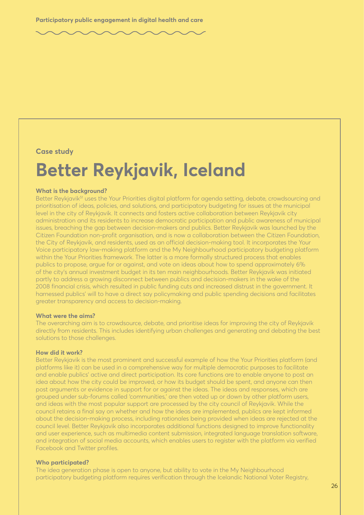**Case study**

### **Better Reykjavik, Iceland**

#### **What is the background?**

Better Reykjavik<sup>51</sup> uses the Your Priorities digital platform for agenda setting, debate, crowdsourcing and prioritisation of ideas, policies, and solutions, and participatory budgeting for issues at the municipal level in the city of Reykjavik. It connects and fosters active collaboration between Reykjavik city administration and its residents to increase democratic participation and public awareness of municipal issues, breaching the gap between decision-makers and publics. Better Reykjavik was launched by the Citizen Foundation non-profit organisation, and is now a collaboration between the Citizen Foundation, the City of Reykjavik, and residents, used as an official decision-making tool. It incorporates the Your Voice participatory law-making platform and the My Neighbourhood participatory budgeting platform within the Your Priorities framework. The latter is a more formally structured process that enables publics to propose, argue for or against, and vote on ideas about how to spend approximately 6% of the city's annual investment budget in its ten main neighbourhoods. Better Reykjavik was initiated partly to address a growing disconnect between publics and decision-makers in the wake of the 2008 financial crisis, which resulted in public funding cuts and increased distrust in the government. It harnessed publics' will to have a direct say policymaking and public spending decisions and facilitates greater transparency and access to decision-making.

#### **What were the aims?**

The overarching aim is to crowdsource, debate, and prioritise ideas for improving the city of Reykjavik directly from residents. This includes identifying urban challenges and generating and debating the best solutions to those challenges.

#### **How did it work?**

Better Reykjavik is the most prominent and successful example of how the Your Priorities platform (and platforms like it) can be used in a comprehensive way for multiple democratic purposes to facilitate and enable publics' active and direct participation. Its core functions are to enable anyone to post an idea about how the city could be improved, or how its budget should be spent, and anyone can then post arguments or evidence in support for or against the ideas. The ideas and responses, which are grouped under sub-forums called 'communities,' are then voted up or down by other platform users, and ideas with the most popular support are processed by the city council of Reykjavik. While the council retains a final say on whether and how the ideas are implemented, publics are kept informed about the decision-making process, including rationales being provided when ideas are rejected at the council level. Better Reykjavik also incorporates additional functions designed to improve functionality and user experience, such as multimedia content submission, integrated language translation software, and integration of social media accounts, which enables users to register with the platform via verified Facebook and Twitter profiles.

#### **Who participated?**

The idea generation phase is open to anyone, but ability to vote in the My Neighbourhood participatory budgeting platform requires verification through the Icelandic National Voter Registry,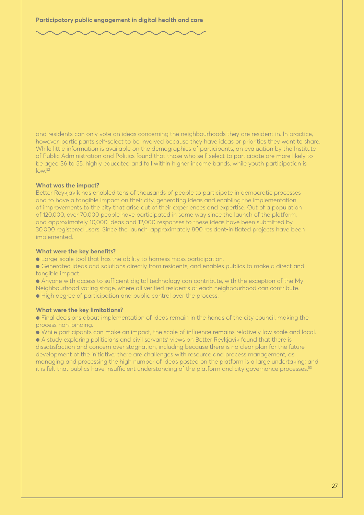and residents can only vote on ideas concerning the neighbourhoods they are resident in. In practice, however, participants self-select to be involved because they have ideas or priorities they want to share. While little information is available on the demographics of participants, an evaluation by the Institute of Public Administration and Politics found that those who self-select to participate are more likely to be aged 36 to 55, highly educated and fall within higher income bands, while youth participation is  $low<sup>52</sup>$ 

#### **What was the impact?**

Better Reykjavik has enabled tens of thousands of people to participate in democratic processes and to have a tangible impact on their city, generating ideas and enabling the implementation of improvements to the city that arise out of their experiences and expertise. Out of a population of 120,000, over 70,000 people have participated in some way since the launch of the platform, and approximately 10,000 ideas and 12,000 responses to these ideas have been submitted by 30,000 registered users. Since the launch, approximately 800 resident-initiated projects have been implemented.

#### **What were the key benefits?**

- Large-scale tool that has the ability to harness mass participation.
- Generated ideas and solutions directly from residents, and enables publics to make a direct and tangible impact.

● Anyone with access to sufficient digital technology can contribute, with the exception of the My Neighbourhood voting stage, where all verified residents of each neighbourhood can contribute.

● High degree of participation and public control over the process.

#### **What were the key limitations?**

● Final decisions about implementation of ideas remain in the hands of the city council, making the process non-binding.

● While participants can make an impact, the scale of influence remains relatively low scale and local.

● A study exploring politicians and civil servants' views on Better Reykjavik found that there is dissatisfaction and concern over stagnation, including because there is no clear plan for the future development of the initiative; there are challenges with resource and process management, as managing and processing the high number of ideas posted on the platform is a large undertaking; and it is felt that publics have insufficient understanding of the platform and city governance processes.<sup>53</sup>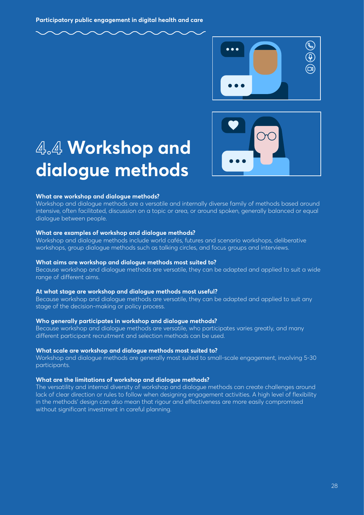



### **4.4 Workshop and dialogue methods**

#### **What are workshop and dialogue methods?**

Workshop and dialogue methods are a versatile and internally diverse family of methods based around intensive, often facilitated, discussion on a topic or area, or around spoken, generally balanced or equal dialogue between people.

#### **What are examples of workshop and dialogue methods?**

Workshop and dialogue methods include world cafés, futures and scenario workshops, deliberative workshops, group dialogue methods such as talking circles, and focus groups and interviews.

#### **What aims are workshop and dialogue methods most suited to?**

Because workshop and dialogue methods are versatile, they can be adapted and applied to suit a wide range of different aims.

#### **At what stage are workshop and dialogue methods most useful?**

Because workshop and dialogue methods are versatile, they can be adapted and applied to suit any stage of the decision-making or policy process.

#### **Who generally participates in workshop and dialogue methods?**

Because workshop and dialogue methods are versatile, who participates varies greatly, and many different participant recruitment and selection methods can be used.

#### **What scale are workshop and dialogue methods most suited to?**

Workshop and dialogue methods are generally most suited to small-scale engagement, involving 5-30 participants.

#### **What are the limitations of workshop and dialogue methods?**

The versatility and internal diversity of workshop and dialogue methods can create challenges around lack of clear direction or rules to follow when designing engagement activities. A high level of flexibility in the methods' design can also mean that rigour and effectiveness are more easily compromised without significant investment in careful planning.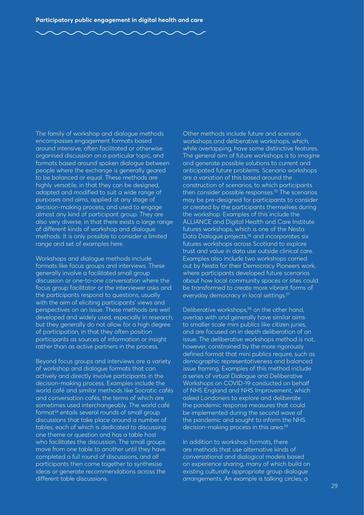The family of workshop and dialogue methods encompasses engagement formats based around intensive, often facilitated or otherwise organised discussion on a particular topic, and formats based around spoken dialogue between people where the exchange is generally geared to be balanced or equal. These methods are highly versatile, in that they can be designed, adapted and modified to suit a wide range of purposes and aims, applied at any stage of decision-making process, and used to engage almost any kind of participant group. They are also very diverse, in that there exists a large range of different kinds of workshop and dialogue methods. It is only possible to consider a limited range and set of examples here.

Workshops and dialogue methods include formats like focus groups and interviews. These generally involve a facilitated small group discussion or one-to-one conversation where the focus group facilitator or the interviewer asks and the participants respond to questions, usually with the aim of eliciting participants' views and perspectives on an issue. These methods are well developed and widely used, especially in research, but they generally do not allow for a high degree of participation, in that they often position participants as sources of information or insight rather than as active partners in the process.

Beyond focus groups and interviews are a variety of workshop and dialogue formats that can actively and directly involve participants in the decision-making process. Examples include the world café and similar methods like Socratic cafés and conversation cafés, the terms of which are sometimes used interchangeably. The world café format54 entails several rounds of small group discussions that take place around a number of tables, each of which is dedicated to discussing one theme or question and has a table host who facilitates the discussion. The small groups move from one table to another until they have completed a full round of discussions, and all participants then come together to synthesise ideas or generate recommendations across the different table discussions.

Other methods include future and scenario workshops and deliberative workshops, which, while overlapping, have some distinctive features. The general aim of future workshops is to imagine and generate possible solutions to current and anticipated future problems. Scenario workshops are a variation of this based around the construction of scenarios, to which participants then consider possible responses.<sup>55</sup> The scenarios may be pre-designed for participants to consider or created by the participants themselves during the workshop. Examples of this include the ALLIANCE and Digital Health and Care Institute futures workshops, which is one of the Nesta Data Dialogue projects,<sup>56</sup> and incorporates six futures workshops across Scotland to explore trust and value in data use outside clinical care. Examples also include two workshops carried out by Nesta for their Democracy Pioneers work, where participants developed future scenarios about how local community spaces or sites could be transformed to create more vibrant forms of everyday democracy in local settings.<sup>57</sup>

Deliberative workshops,<sup>58</sup> on the other hand, overlap with and generally have similar aims to smaller scale mini publics like citizen juries, and are focused on in depth deliberation of an issue. The deliberative workshops method is not, however, constrained by the more rigorously defined format that mini publics require, such as demographic representativeness and balanced issue framing. Examples of this method include a series of virtual Dialogue and Deliberative Workshops on COVID-19 conducted on behalf of NHS England and NHS Improvement, which asked Londoners to explore and deliberate the pandemic response measures that could be implemented during the second wave of the pandemic and sought to inform the NHS decision-making process in this area.<sup>59</sup>

In addition to workshop formats, there are methods that use alternative kinds of conversational and dialogical models based on experience sharing, many of which build on existing culturally appropriate group dialogue arrangements. An example is talking circles, a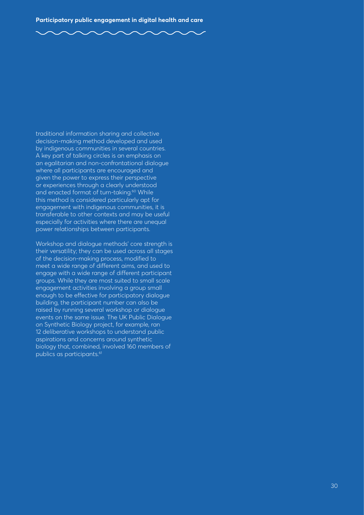traditional information sharing and collective decision-making method developed and used by indigenous communities in several countries. A key part of talking circles is an emphasis on an egalitarian and non-confrontational dialogue where all participants are encouraged and given the power to express their perspective or experiences through a clearly understood and enacted format of turn-taking.<sup>60</sup> While this method is considered particularly apt for engagement with indigenous communities, it is transferable to other contexts and may be useful especially for activities where there are unequal power relationships between participants.

Workshop and dialogue methods' core strength is their versatility; they can be used across all stages of the decision-making process, modified to meet a wide range of different aims, and used to engage with a wide range of different participant groups. While they are most suited to small scale engagement activities involving a group small enough to be effective for participatory dialogue building, the participant number can also be raised by running several workshop or dialogue events on the same issue. The UK Public Dialogue on Synthetic Biology project, for example, ran 12 deliberative workshops to understand public aspirations and concerns around synthetic biology that, combined, involved 160 members of publics as participants.<sup>61</sup>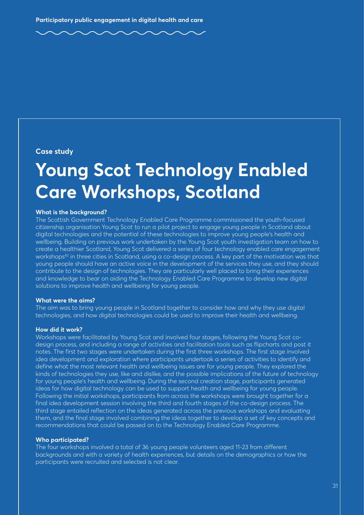**Case study**

### **Young Scot Technology Enabled Care Workshops, Scotland**

#### **What is the background?**

The Scottish Government Technology Enabled Care Programme commissioned the youth-focused citizenship organisation Young Scot to run a pilot project to engage young people in Scotland about digital technologies and the potential of these technologies to improve young people's health and wellbeing. Building on previous work undertaken by the Young Scot youth investigation team on how to create a healthier Scotland, Young Scot delivered a series of four technology enabled care engagement workshops<sup>62</sup> in three cities in Scotland, using a co-design process. A key part of the motivation was that young people should have an active voice in the development of the services they use, and they should contribute to the design of technologies. They are particularly well placed to bring their experiences and knowledge to bear on aiding the Technology Enabled Care Programme to develop new digital solutions to improve health and wellbeing for young people.

#### **What were the aims?**

The aim was to bring young people in Scotland together to consider how and why they use digital technologies, and how digital technologies could be used to improve their health and wellbeing.

#### **How did it work?**

Workshops were facilitated by Young Scot and involved four stages, following the Young Scot codesign process, and including a range of activities and facilitation tools such as flipcharts and post it notes. The first two stages were undertaken during the first three workshops. The first stage involved idea development and exploration where participants undertook a series of activities to identify and define what the most relevant health and wellbeing issues are for young people. They explored the kinds of technologies they use, like and dislike, and the possible implications of the future of technology for young people's health and wellbeing. During the second creation stage, participants generated ideas for how digital technology can be used to support health and wellbeing for young people. Following the initial workshops, participants from across the workshops were brought together for a final idea development session involving the third and fourth stages of the co-design process. The third stage entailed reflection on the ideas generated across the previous workshops and evaluating them, and the final stage involved combining the ideas together to develop a set of key concepts and recommendations that could be passed on to the Technology Enabled Care Programme.

#### **Who participated?**

The four workshops involved a total of 36 young people volunteers aged 11-23 from different backgrounds and with a variety of health experiences, but details on the demographics or how the participants were recruited and selected is not clear.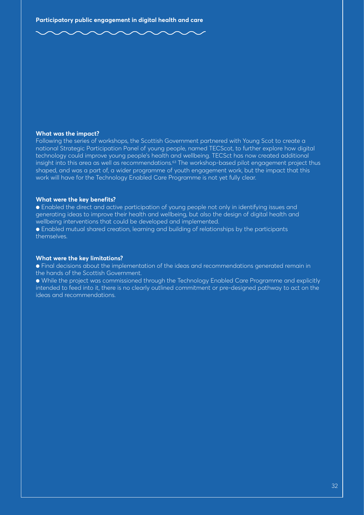#### **What was the impact?**

Following the series of workshops, the Scottish Government partnered with Young Scot to create a national Strategic Participation Panel of young people, named TECScot, to further explore how digital technology could improve young people's health and wellbeing. TECSct has now created additional insight into this area as well as recommendations.<sup>63</sup> The workshop-based pilot engagement project thus shaped, and was a part of, a wider programme of youth engagement work, but the impact that this work will have for the Technology Enabled Care Programme is not yet fully clear.

#### **What were the key benefits?**

● Enabled the direct and active participation of young people not only in identifying issues and generating ideas to improve their health and wellbeing, but also the design of digital health and wellbeing interventions that could be developed and implemented.

● Enabled mutual shared creation, learning and building of relationships by the participants themselves.

#### **What were the key limitations?**

● Final decisions about the implementation of the ideas and recommendations generated remain in the hands of the Scottish Government.

● While the project was commissioned through the Technology Enabled Care Programme and explicitly intended to feed into it, there is no clearly outlined commitment or pre-designed pathway to act on the ideas and recommendations.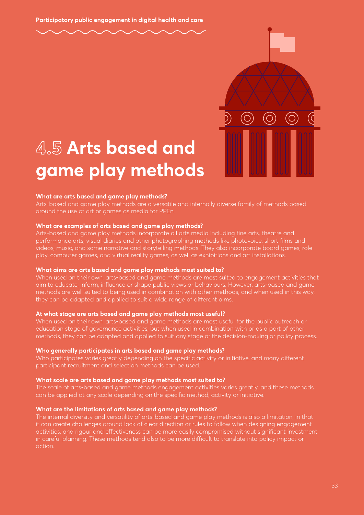

### **4.5 Arts based and game play methods**

#### **What are arts based and game play methods?**

Arts-based and game play methods are a versatile and internally diverse family of methods based around the use of art or games as media for PPEn.

#### **What are examples of arts based and game play methods?**

Arts-based and game play methods incorporate all arts media including fine arts, theatre and performance arts, visual diaries and other photographing methods like photovoice, short films and videos, music, and some narrative and storytelling methods. They also incorporate board games, role play, computer games, and virtual reality games, as well as exhibitions and art installations.

#### **What aims are arts based and game play methods most suited to?**

When used on their own, arts-based and game methods are most suited to engagement activities that aim to educate, inform, influence or shape public views or behaviours. However, arts-based and game methods are well suited to being used in combination with other methods, and when used in this way, they can be adapted and applied to suit a wide range of different aims.

#### **At what stage are arts based and game play methods most useful?**

When used on their own, arts-based and game methods are most useful for the public outreach or education stage of governance activities, but when used in combination with or as a part of other methods, they can be adapted and applied to suit any stage of the decision-making or policy process.

#### **Who generally participates in arts based and game play methods?**

Who participates varies greatly depending on the specific activity or initiative, and many different participant recruitment and selection methods can be used.

#### **What scale are arts based and game play methods most suited to?**

The scale of arts-based and game methods engagement activities varies greatly, and these methods can be applied at any scale depending on the specific method, activity or initiative.

#### **What are the limitations of arts based and game play methods?**

The internal diversity and versatility of arts-based and game play methods is also a limitation, in that it can create challenges around lack of clear direction or rules to follow when designing engagement activities, and rigour and effectiveness can be more easily compromised without significant investment in careful planning. These methods tend also to be more difficult to translate into policy impact or action.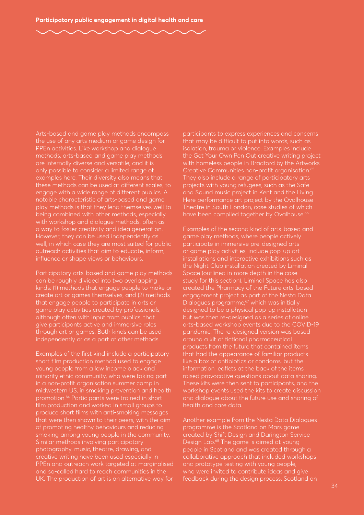Arts-based and game play methods encompass the use of any arts medium or game design for PPEn activities. Like workshop and dialogue methods, arts-based and game play methods are internally diverse and versatile, and it is only possible to consider a limited range of examples here. Their diversity also means that these methods can be used at different scales, to engage with a wide range of different publics. A notable characteristic of arts-based and game play methods is that they lend themselves well to being combined with other methods, especially with workshop and dialogue methods, often as a way to foster creativity and idea generation. However, they can be used independently as well, in which case they are most suited for public outreach activities that aim to educate, inform, influence or shape views or behaviours.

Participatory arts-based and game play methods can be roughly divided into two overlapping kinds: (1) methods that engage people to make or create art or games themselves, and (2) methods that engage people to participate in arts or game play activities created by professionals, although often with input from publics, that give participants active and immersive roles through art or games. Both kinds can be used independently or as a part of other methods.

Examples of the first kind include a participatory short film production method used to engage young people from a low income black and minority ethic community, who were taking part in a non-profit organisation summer camp in midwestern US, in smoking prevention and health promotion.64 Participants were trained in short film production and worked in small groups to produce short films with anti-smoking messages that were then shown to their peers, with the aim of promoting healthy behaviours and reducing smoking among young people in the community. Similar methods involving participatory photography, music, theatre, drawing, and creative writing have been used especially in PPEn and outreach work targeted at marginalised and so-called hard to reach communities in the UK. The production of art is an alternative way for

participants to express experiences and concerns that may be difficult to put into words, such as isolation, trauma or violence. Examples include the Get Your Own Pen Out creative writing project with homeless people in Bradford by the Artworks Creative Communities non-profit organisation.65 They also include a range of participatory arts projects with young refugees, such as the Safe and Sound music project in Kent and the Living Here performance art project by the Ovalhouse Theatre in South London, case studies of which have been compiled together by Ovalhouse.<sup>66</sup>

Examples of the second kind of arts-based and game play methods, where people actively participate in immersive pre-designed arts or game play activities, include pop-up art installations and interactive exhibitions such as the Night Club installation created by Liminal Space (outlined in more depth in the case study for this section). Liminal Space has also created the Pharmacy of the Future arts-based engagement project as part of the Nesta Data Dialogues programme,<sup>67</sup> which was initially designed to be a physical pop-up installation but was then re-designed as a series of online arts-based workshop events due to the COVID-19 pandemic. The re-designed version was based around a kit of fictional pharmaceutical products from the future that contained items that had the appearance of familiar products like a box of antibiotics or condoms, but the information leaflets at the back of the items raised provocative questions about data sharing. These kits were then sent to participants, and the workshop events used the kits to create discussion and dialogue about the future use and sharing of health and care data.

Another example from the Nesta Data Dialogues programme is the Scotland on Mars game created by Shift Design and Darington Service Design Lab.68 The game is aimed at young people in Scotland and was created through a collaborative approach that included workshops and prototype testing with young people, who were invited to contribute ideas and give feedback during the design process. Scotland on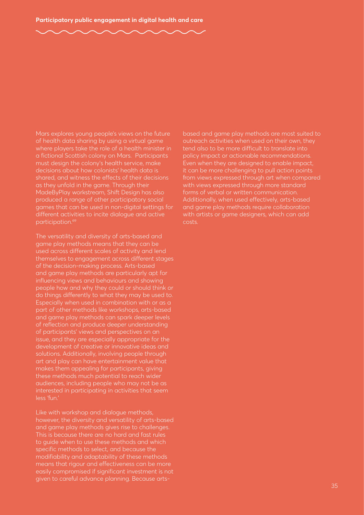Mars explores young people's views on the future of health data sharing by using a virtual game where players take the role of a health minister in a fictional Scottish colony on Mars. Participants must design the colony's health service, make decisions about how colonists' health data is shared, and witness the effects of their decisions as they unfold in the game. Through their MadeByPlay workstream, Shift Design has also produced a range of other participatory social games that can be used in non-digital settings for different activities to incite dialogue and active participation.69

The versatility and diversity of arts-based and game play methods means that they can be used across different scales of activity and lend themselves to engagement across different stages of the decision-making process. Arts-based and game play methods are particularly apt for influencing views and behaviours and showing people how and why they could or should think or do things differently to what they may be used to. Especially when used in combination with or as a part of other methods like workshops, arts-based and game play methods can spark deeper levels of reflection and produce deeper understanding of participants' views and perspectives on an issue, and they are especially appropriate for the development of creative or innovative ideas and solutions. Additionally, involving people through art and play can have entertainment value that makes them appealing for participants, giving these methods much potential to reach wider audiences, including people who may not be as interested in participating in activities that seem less 'fun.'

Like with workshop and dialogue methods, however, the diversity and versatility of arts-based and game play methods gives rise to challenges. This is because there are no hard and fast rules to guide when to use these methods and which specific methods to select, and because the modifiability and adaptability of these methods means that rigour and effectiveness can be more easily compromised if significant investment is not given to careful advance planning. Because artsbased and game play methods are most suited to outreach activities when used on their own, they tend also to be more difficult to translate into policy impact or actionable recommendations. Even when they are designed to enable impact, it can be more challenging to pull action points from views expressed through art when compared with views expressed through more standard forms of verbal or written communication. Additionally, when used effectively, arts-based and game play methods require collaboration with artists or game designers, which can add costs.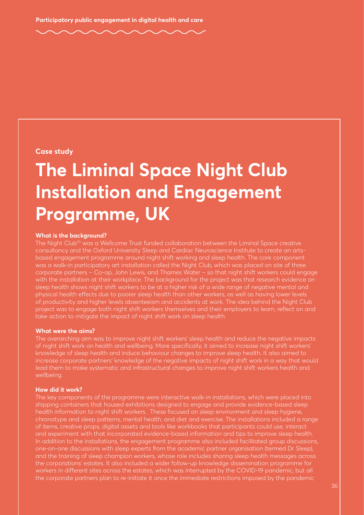#### **Case study**

### **The Liminal Space Night Club Installation and Engagement Programme, UK**

#### **What is the background?**

The Night Club<sup>70</sup> was a Wellcome Trust funded collaboration between the Liminal Space creative consultancy and the Oxford University Sleep and Cardiac Neuroscience Institute to create an artsbased engagement programme around night shift working and sleep health. The core component was a walk-in participatory art installation called the Night Club, which was placed on site of three corporate partners – Co-op, John Lewis, and Thames Water – so that night shift workers could engage with the installation at their workplace. The background for the project was that research evidence on sleep health shows night shift workers to be at a higher risk of a wide range of negative mental and physical health effects due to poorer sleep health than other workers, as well as having lower levels of productivity and higher levels absenteeism and accidents at work. The idea behind the Night Club project was to engage both night shift workers themselves and their employers to learn, reflect on and take action to mitigate the impact of night shift work on sleep health.

#### **What were the aims?**

The overarching aim was to improve night shift workers' sleep health and reduce the negative impacts of night shift work on health and wellbeing. More specifically, it aimed to increase night shift workers' knowledge of sleep health and induce behaviour changes to improve sleep health. It also aimed to increase corporate partners' knowledge of the negative impacts of night shift work in a way that would lead them to make systematic and infrastructural changes to improve night shift workers health and wellbeing.

#### **How did it work?**

The key components of the programme were interactive walk-in installations, which were placed into shipping containers that housed exhibitions designed to engage and provide evidence-based sleep health information to night shift workers. These focused on sleep environment and sleep hygiene, chronotype and sleep patterns, mental health, and diet and exercise. The installations included a range of items, creative props, digital assets and tools like workbooks that participants could use, interact and experiment with that incorporated evidence-based information and tips to improve sleep health. In addition to the installations, the engagement programme also included facilitated group discussions, one-on-one discussions with sleep experts from the academic partner organisation (termed Dr Sleep), and the training of sleep champion workers, whose role includes sharing sleep health messages across the corporations' estates. It also included a wider follow-up knowledge dissemination programme for workers in different sites across the estates, which was interrupted by the COVID-19 pandemic, but all the corporate partners plan to re-initiate it once the immediate restrictions imposed by the pandemic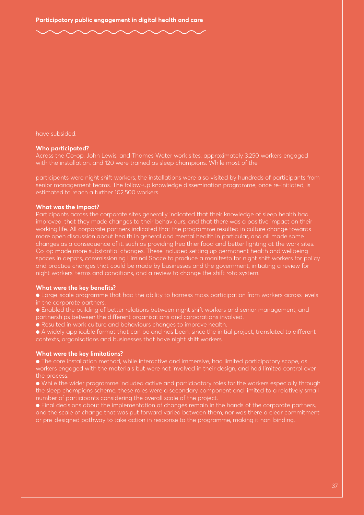have subsided.

#### **Who participated?**

Across the Co-op, John Lewis, and Thames Water work sites, approximately 3,250 workers engaged with the installation, and 120 were trained as sleep champions. While most of the

participants were night shift workers, the installations were also visited by hundreds of participants from senior management teams. The follow-up knowledge dissemination programme, once re-initiated, is estimated to reach a further 102,500 workers.

#### **What was the impact?**

Participants across the corporate sites generally indicated that their knowledge of sleep health had improved, that they made changes to their behaviours, and that there was a positive impact on their working life. All corporate partners indicated that the programme resulted in culture change towards more open discussion about health in general and mental health in particular, and all made some changes as a consequence of it, such as providing healthier food and better lighting at the work sites. Co-op made more substantial changes. These included setting up permanent health and wellbeing spaces in depots, commissioning Liminal Space to produce a manifesto for night shift workers for policy and practice changes that could be made by businesses and the government, initiating a review for night workers' terms and conditions, and a review to change the shift rota system.

#### **What were the key benefits?**

● Large-scale programme that had the ability to harness mass participation from workers across levels in the corporate partners.

● Enabled the building of better relations between night shift workers and senior management, and partnerships between the different organisations and corporations involved.

● Resulted in work culture and behaviours changes to improve health.

● A widely applicable format that can be and has been, since the initial project, translated to different contexts, organisations and businesses that have night shift workers.

#### **What were the key limitations?**

● The core installation method, while interactive and immersive, had limited participatory scope, as workers engaged with the materials but were not involved in their design, and had limited control over the process.

● While the wider programme included active and participatory roles for the workers especially through the sleep champions scheme, these roles were a secondary component and limited to a relatively small number of participants considering the overall scale of the project.

● Final decisions about the implementation of changes remain in the hands of the corporate partners, and the scale of change that was put forward varied between them, nor was there a clear commitment or pre-designed pathway to take action in response to the programme, making it non-binding.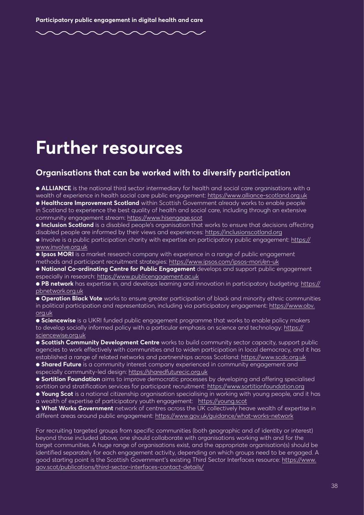### **Further resources**

### **Organisations that can be worked with to diversify participation**

● **ALLIANCE** is the national third sector intermediary for health and social care organisations with a wealth of experience in health social care public engagement: <https://www.alliance-scotland.org.uk>

● **Healthcare Improvement Scotland** within Scottish Government already works to enable people in Scotland to experience the best quality of health and social care, including through an extensive community engagement stream:<https://www.hisengage.scot>

● **Inclusion Scotland** is a disabled people's organisation that works to ensure that decisions affecting disabled people are informed by their views and experiences: <https://inclusionscotland.org>

● Involve is a public participation charity with expertise on participatory public engagement: [https://](https://www.involve.org.uk) [www.involve.org.uk](https://www.involve.org.uk)

**● Ipsos MORI** is a market research company with experience in a range of public engagement methods and participant recruitment strategies: <https://www.ipsos.com/ipsos-mori/en-uk>

**● National Co-ordinating Centre for Public Engagement** develops and support public engagement especially in research: <https://www.publicengagement.ac.uk>

**● PB network** has expertise in, and develops learning and innovation in participatory budgeting: [https://](https://pbnetwork.org.uk) [pbnetwork.org.uk](https://pbnetwork.org.uk)

**● Operation Black Vote** works to ensure greater participation of black and minority ethnic communities in political participation and representation, including via participatory engagement: [https://www.obv.](https://www.obv.org.uk) [org.uk](https://www.obv.org.uk) 

**● Sciencewise** is a UKRI funded public engagement programme that works to enable policy makers to develop socially informed policy with a particular emphasis on science and technology: [https://](https://sciencewise.org.uk) [sciencewise.org.uk](https://sciencewise.org.uk)

**● Scottish Community Development Centre** works to build community sector capacity, support public agencies to work effectively with communities and to widen participation in local democracy, and it has established a range of related networks and partnerships across Scotland: <https://www.scdc.org.uk>

**● Shared Future** is a community interest company experienced in community engagement and especially community-led design:<https://sharedfuturecic.org.uk>

**● Sortition Foundation** aims to improve democratic processes by developing and offering specialised

sortition and stratification services for participant recruitment:<https://www.sortitionfoundation.org>

**● Young Scot** is a national citizenship organisation specialising in working with young people, and it has a wealth of expertise of participatory youth engagement: <https://young.scot>

**● What Works Government** network of centres across the UK collectively heave wealth of expertise in different areas around public engagement: <https://www.gov.uk/guidance/what-works-network>

For recruiting targeted groups from specific communities (both geographic and of identity or interest) beyond those included above, one should collaborate with organisations working with and for the target communities. A huge range of organisations exist, and the appropriate organisation(s) should be identified separately for each engagement activity, depending on which groups need to be engaged. A good starting point is the Scottish Government's existing Third Sector Interfaces resource: [https://www.](https://www.gov.scot/publications/third-sector-interfaces-contact-details/) [gov.scot/publications/third-sector-interfaces-contact-details/](https://www.gov.scot/publications/third-sector-interfaces-contact-details/)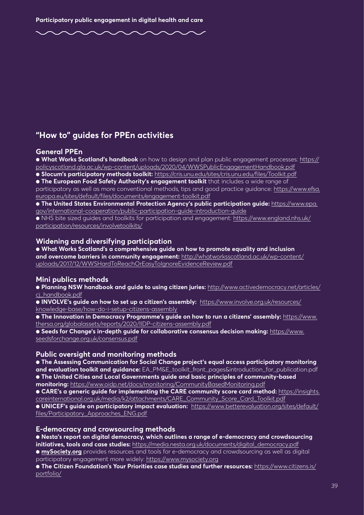### **"How to" guides for PPEn activities**

#### **General PPEn**

● **What Works Scotland's handbook** on how to design and plan public engagement processes: [https://](https://policyscotland.gla.ac.uk/wp-content/uploads/2020/04/WWSPublicEngagementHandbook.pdf) [policyscotland.gla.ac.uk/wp-content/uploads/2020/04/WWSPublicEngagementHandbook.pdf](https://policyscotland.gla.ac.uk/wp-content/uploads/2020/04/WWSPublicEngagementHandbook.pdf) 

● **Slocum's participatory methods toolkit:** <https://cris.unu.edu/sites/cris.unu.edu/files/Toolkit.pdf>

**● The European Food Safety Authority's engagement toolkit** that includes a wide range of participatory as well as more conventional methods, tips and good practice guidance: [https://www.efsa.](https://www.efsa.europa.eu/sites/default/files/documents/engagement-toolkit.pdf) [europa.eu/sites/default/files/documents/engagement-toolkit.pdf](https://www.efsa.europa.eu/sites/default/files/documents/engagement-toolkit.pdf)

● **The United States Environmental Protection Agency's public participation guide:** [https://www.epa.](https://www.epa.gov/international-cooperation/public-participation-guide-introduction-guide) [gov/international-cooperation/public-participation-guide-introduction-guide](https://www.epa.gov/international-cooperation/public-participation-guide-introduction-guide)

● NHS bite sized guides and toolkits for participation and engagement: [https://www.england.nhs.uk/](https://www.england.nhs.uk/participation/resources/involvetoolkits/) [participation/resources/involvetoolkits/](https://www.england.nhs.uk/participation/resources/involvetoolkits/) 

#### **Widening and diversifying participation**

**● What Works Scotland's a comprehensive guide on how to promote equality and inclusion and overcome barriers in community engagement:** [http://whatworksscotland.ac.uk/wp-content/](http://whatworksscotland.ac.uk/wp-content/uploads/2017/12/WWSHardToReachOrEasyToIgnoreEvidenceReview.pdf) [uploads/2017/12/WWSHardToReachOrEasyToIgnoreEvidenceReview.pdf](http://whatworksscotland.ac.uk/wp-content/uploads/2017/12/WWSHardToReachOrEasyToIgnoreEvidenceReview.pdf)

#### **Mini publics methods**

● **Planning NSW handbook and guide to using citizen juries:** [http://www.activedemocracy.net/articles/](http://www.activedemocracy.net/articles/cj_handbook.pdf) [cj\\_handbook.pdf](http://www.activedemocracy.net/articles/cj_handbook.pdf)

**● INVOLVE's guide on how to set up a citizen's assembly:** [https://www.involve.org.uk/resources/](https://www.involve.org.uk/resources/knowledge-base/how-do-i-setup-citizens-assembly) [knowledge-base/how-do-i-setup-citizens-assembly](https://www.involve.org.uk/resources/knowledge-base/how-do-i-setup-citizens-assembly) 

**● The Innovation in Democracy Programme's guide on how to run a citizens' assembly:** [https://www.](https://www.thersa.org/globalassets/reports/2020/IIDP-citizens-assembly.pdf) [thersa.org/globalassets/reports/2020/IIDP-citizens-assembly.pdf](https://www.thersa.org/globalassets/reports/2020/IIDP-citizens-assembly.pdf) 

**● Seeds for Change's in-depth guide for collaborative consensus decision making:** [https://www.](https://www.seedsforchange.org.uk/consensus.pdf) [seedsforchange.org.uk/consensus.pdf](https://www.seedsforchange.org.uk/consensus.pdf)

#### **Public oversight and monitoring methods**

**● The Assessing Communication for Social Change project's equal access participatory monitoring and evaluation toolkit and guidance:** EA\_PM&E\_toolkit\_front\_pages&introduction\_for\_publication.pdf **● The United Cities and Local Governments guide and basic principles of community-based** 

**monitoring:** <https://www.oidp.net/docs/monitoring/CommunityBasedMonitoring.pdf>

**● CARE's a generic guide for implementing the CARE community score card method:** [https://insights.](https://insights.careinternational.org.uk/media/k2/attachments/CARE_Community_Score_Card_Toolkit.pdf) [careinternational.org.uk/media/k2/attachments/CARE\\_Community\\_Score\\_Card\\_Toolkit.pdf](https://insights.careinternational.org.uk/media/k2/attachments/CARE_Community_Score_Card_Toolkit.pdf)

**● UNICEF's guide on participatory impact evaluation:** [https://www.betterevaluation.org/sites/default/](https://www.betterevaluation.org/sites/default/files/Participatory_Approaches_ENG.pdf) [files/Participatory\\_Approaches\\_ENG.pdf](https://www.betterevaluation.org/sites/default/files/Participatory_Approaches_ENG.pdf) 

#### **E-democracy and crowsourcing methods**

**● Nesta's report on digital democracy, which outlines a range of e-democracy and crowdsourcing initiatives, tools and case studies:** [https://media.nesta.org.uk/documents/digital\\_democracy.pdf](https://media.nesta.org.uk/documents/digital_democracy.pdf)  **● [mySociety.org](http://mySociety.org)** provides resources and tools for e-democracy and crowdsourcing as well as digital participatory engagement more widely:<https://www.mysociety.org>

**● The Citizen Foundation's Your Priorities case studies and further resources:** [https://www.citizens.is/](https://www.citizens.is/portfolio/) [portfolio/](https://www.citizens.is/portfolio/)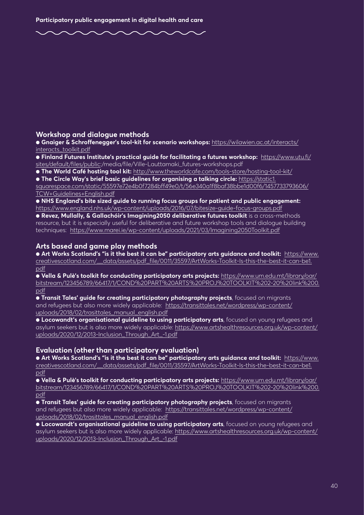#### **Workshop and dialogue methods**

**● Gnaiger & Schroffenegger's tool-kit for scenario workshops:** [https://wilawien.ac.at/interacts/](https://wilawien.ac.at/interacts/interacts_toolkit.pdf) [interacts\\_toolkit.pdf](https://wilawien.ac.at/interacts/interacts_toolkit.pdf)

**● Finland Futures Institute's practical guide for facilitating a futures workshop:** [https://www.utu.fi/](https://www.utu.fi/sites/default/files/public) [sites/default/files/public](https://www.utu.fi/sites/default/files/public):/media/file/Ville-Lauttamaki\_futures-workshops.pdf

**● The World Café hosting tool kit:**<http://www.theworldcafe.com/tools-store/hosting-tool-kit/>

**● The Circle Way's brief basic guidelines for organising a talking circle:** [https://static1.](https://static1.squarespace.com/static/55597e72e4b0f7284bff49e0/t/56e340a1f8baf38bbe1d00f6/1457733793606/TCW+Guidelines+English.pdf)

[squarespace.com/static/55597e72e4b0f7284bff49e0/t/56e340a1f8baf38bbe1d00f6/1457733793606/](https://static1.squarespace.com/static/55597e72e4b0f7284bff49e0/t/56e340a1f8baf38bbe1d00f6/1457733793606/TCW+Guidelines+English.pdf) [TCW+Guidelines+English.pdf](https://static1.squarespace.com/static/55597e72e4b0f7284bff49e0/t/56e340a1f8baf38bbe1d00f6/1457733793606/TCW+Guidelines+English.pdf) 

● **NHS England's bite sized guide to running focus groups for patient and public engagement:**  <https://www.england.nhs.uk/wp-content/uploads/2016/07/bitesize-guide-focus-groups.pdf>

● **Revez, Mullally, & Gallachóir's Imagining2050 deliberative futures toolkit** is a cross-methods resource, but it is especially useful for deliberative and future workshop tools and dialogue building techniques: <https://www.marei.ie/wp-content/uploads/2021/03/Imagining2050Toolkit.pdf>

#### **Arts based and game play methods**

**● Art Works Scotland's "is it the best it can be" participatory arts guidance and toolkit:** [https://www.](https://www.creativescotland.com/__data/assets/pdf_file/0011/35597/ArtWorks-Toolkit-Is-this-the-best-it-can-be1.pdf) [creativescotland.com/\\_\\_data/assets/pdf\\_file/0011/35597/ArtWorks-Toolkit-Is-this-the-best-it-can-be1.](https://www.creativescotland.com/__data/assets/pdf_file/0011/35597/ArtWorks-Toolkit-Is-this-the-best-it-can-be1.pdf) [pdf](https://www.creativescotland.com/__data/assets/pdf_file/0011/35597/ArtWorks-Toolkit-Is-this-the-best-it-can-be1.pdf) 

● **Vella & Pulè's toolkit for conducting participatory arts projects:** [https://www.um.edu.mt/library/oar/](https://www.um.edu.mt/library/oar/bitstream/123456789/66417/1/COND%20PART%20ARTS%20PROJ%20TOOLKIT%202-20%20link%200.pdf) [bitstream/123456789/66417/1/COND%20PART%20ARTS%20PROJ%20TOOLKIT%202-20%20link%200.](https://www.um.edu.mt/library/oar/bitstream/123456789/66417/1/COND%20PART%20ARTS%20PROJ%20TOOLKIT%202-20%20link%200.pdf) [pdf](https://www.um.edu.mt/library/oar/bitstream/123456789/66417/1/COND%20PART%20ARTS%20PROJ%20TOOLKIT%202-20%20link%200.pdf) 

● **Transit Tales' guide for creating participatory photography projects**, focused on migrants and refugees but also more widely applicable: [https://transittales.net/wordpress/wp-content/](https://transittales.net/wordpress/wp-content/uploads/2018/02/trasittales_manual_english.pdf) [uploads/2018/02/trasittales\\_manual\\_english.pdf](https://transittales.net/wordpress/wp-content/uploads/2018/02/trasittales_manual_english.pdf) 

● **Locowandt's organisational guideline to using participatory arts**, focused on young refugees and asylum seekers but is also more widely applicable: [https://www.artshealthresources.org.uk/wp-content/](https://www.artshealthresources.org.uk/wp-content/uploads/2020/12/2013-Inclusion_Through_Art_-1.pdf) [uploads/2020/12/2013-Inclusion\\_Through\\_Art\\_-1.pdf](https://www.artshealthresources.org.uk/wp-content/uploads/2020/12/2013-Inclusion_Through_Art_-1.pdf)

#### **Evaluation (other than participatory evaluation)**

**● Art Works Scotland's "is it the best it can be" participatory arts guidance and toolkit:** [https://www.](https://www.creativescotland.com/__data/assets/pdf_file/0011/35597/ArtWorks-Toolkit-Is-this-the-best-it-can-be1.pdf) [creativescotland.com/\\_\\_data/assets/pdf\\_file/0011/35597/ArtWorks-Toolkit-Is-this-the-best-it-can-be1.](https://www.creativescotland.com/__data/assets/pdf_file/0011/35597/ArtWorks-Toolkit-Is-this-the-best-it-can-be1.pdf) [pdf](https://www.creativescotland.com/__data/assets/pdf_file/0011/35597/ArtWorks-Toolkit-Is-this-the-best-it-can-be1.pdf) 

● **Vella & Pulè's toolkit for conducting participatory arts projects:** [https://www.um.edu.mt/library/oar/](https://www.um.edu.mt/library/oar/bitstream/123456789/66417/1/COND%20PART%20ARTS%20PROJ%20TOOLKIT%202-20%20link%200.pdf) [bitstream/123456789/66417/1/COND%20PART%20ARTS%20PROJ%20TOOLKIT%202-20%20link%200.](https://www.um.edu.mt/library/oar/bitstream/123456789/66417/1/COND%20PART%20ARTS%20PROJ%20TOOLKIT%202-20%20link%200.pdf) [pdf](https://www.um.edu.mt/library/oar/bitstream/123456789/66417/1/COND%20PART%20ARTS%20PROJ%20TOOLKIT%202-20%20link%200.pdf) 

● **Transit Tales' guide for creating participatory photography projects**, focused on migrants and refugees but also more widely applicable: [https://transittales.net/wordpress/wp-content/](https://transittales.net/wordpress/wp-content/uploads/2018/02/trasittales_manual_english.pdf) [uploads/2018/02/trasittales\\_manual\\_english.pdf](https://transittales.net/wordpress/wp-content/uploads/2018/02/trasittales_manual_english.pdf) 

● **Locowandt's organisational guideline to using participatory arts**, focused on young refugees and asylum seekers but is also more widely applicable: [https://www.artshealthresources.org.uk/wp-content/](https://www.artshealthresources.org.uk/wp-content/uploads/2020/12/2013-Inclusion_Through_Art_-1.pdf) [uploads/2020/12/2013-Inclusion\\_Through\\_Art\\_-1.pdf](https://www.artshealthresources.org.uk/wp-content/uploads/2020/12/2013-Inclusion_Through_Art_-1.pdf)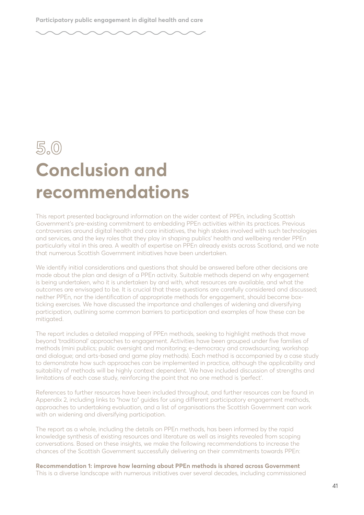### **5.0 Conclusion and recommendations**

This report presented background information on the wider context of PPEn, including Scottish Government's pre-existing commitment to embedding PPEn activities within its practices. Previous controversies around digital health and care initiatives, the high stakes involved with such technologies and services, and the key roles that they play in shaping publics' health and wellbeing render PPEn particularly vital in this area. A wealth of expertise on PPEn already exists across Scotland, and we note that numerous Scottish Government initiatives have been undertaken.

We identify initial considerations and questions that should be answered before other decisions are made about the plan and design of a PPEn activity. Suitable methods depend on why engagement is being undertaken, who it is undertaken by and with, what resources are available, and what the outcomes are envisaged to be. It is crucial that these questions are carefully considered and discussed; neither PPEn, nor the identification of appropriate methods for engagement, should become boxticking exercises. We have discussed the importance and challenges of widening and diversifying participation, outlining some common barriers to participation and examples of how these can be mitigated.

The report includes a detailed mapping of PPEn methods, seeking to highlight methods that move beyond 'traditional' approaches to engagement. Activities have been grouped under five families of methods (mini publics; public oversight and monitoring; e-democracy and crowdsourcing; workshop and dialogue; and arts-based and game play methods). Each method is accompanied by a case study to demonstrate how such approaches can be implemented in practice, although the applicability and suitability of methods will be highly context dependent. We have included discussion of strengths and limitations of each case study, reinforcing the point that no one method is 'perfect'.

References to further resources have been included throughout, and further resources can be found in Appendix 2, including links to "how to" guides for using different participatory engagement methods, approaches to undertaking evaluation, and a list of organisations the Scottish Government can work with on widening and diversifying participation.

The report as a whole, including the details on PPEn methods, has been informed by the rapid knowledge synthesis of existing resources and literature as well as insights revealed from scoping conversations. Based on these insights, we make the following recommendations to increase the chances of the Scottish Government successfully delivering on their commitments towards PPEn:

**Recommendation 1: improve how learning about PPEn methods is shared across Government** This is a diverse landscape with numerous initiatives over several decades, including commissioned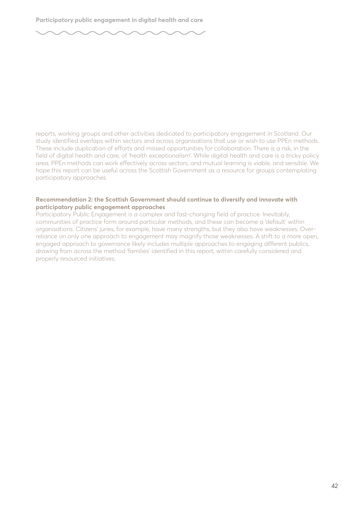

reports, working groups and other activities dedicated to participatory engagement in Scotland. Our study identified overlaps within sectors and across organisations that use or wish to use PPEn methods. These include duplication of efforts and missed opportunities for collaboration. There is a risk, in the field of digital health and care, of 'health exceptionalism'. While digital health and care is a tricky policy area, PPEn methods can work effectively across sectors, and mutual learning is viable, and sensible. We hope this report can be useful across the Scottish Government as a resource for groups contemplating participatory approaches.

#### **Recommendation 2: the Scottish Government should continue to diversify and innovate with participatory public engagement approaches**

Participatory Public Engagement is a complex and fast-changing field of practice. Inevitably, communities of practice form around particular methods, and these can become a 'default' within organisations. Citizens' juries, for example, have many strengths, but they also have weaknesses. Overreliance on only one approach to engagement may magnify those weaknesses. A shift to a more open, engaged approach to governance likely includes multiple approaches to engaging different publics, drawing from across the method 'families' identified in this report, within carefully considered and properly resourced initiatives.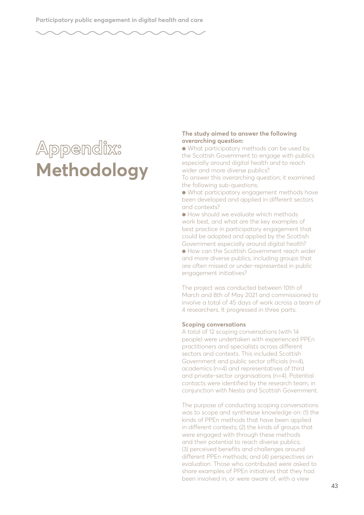## **Appendix: Methodology**

#### **The study aimed to answer the following overarching question:**

● What participatory methods can be used by the Scottish Government to engage with publics especially around digital health and to reach wider and more diverse publics? To answer this overarching question, it examined the following sub-questions:

● What participatory engagement methods have been developed and applied in different sectors and contexts?

● How should we evaluate which methods work best, and what are the key examples of best practice in participatory engagement that could be adopted and applied by the Scottish Government especially around digital health?

● How can the Scottish Government reach wider and more diverse publics, including groups that are often missed or under-represented in public engagement initiatives?

The project was conducted between 10th of March and 8th of May 2021 and commissioned to involve a total of 45 days of work across a team of 4 researchers. It progressed in three parts:

#### **Scoping conversations**

A total of 12 scoping conversations (with 14 people) were undertaken with experienced PPEn practitioners and specialists across different sectors and contexts. This included Scottish Government and public sector officials (n=4), academics (n=4) and representatives of third and private-sector organisations (n=4). Potential contacts were identified by the research team, in conjunction with Nesta and Scottish Government.

The purpose of conducting scoping conversations was to scope and synthesise knowledge on: (1) the kinds of PPEn methods that have been applied in different contexts; (2) the kinds of groups that were engaged with through these methods and their potential to reach diverse publics; (3) perceived benefits and challenges around different PPEn methods; and (4) perspectives on evaluation. Those who contributed were asked to share examples of PPEn initiatives that they had been involved in, or were aware of, with a view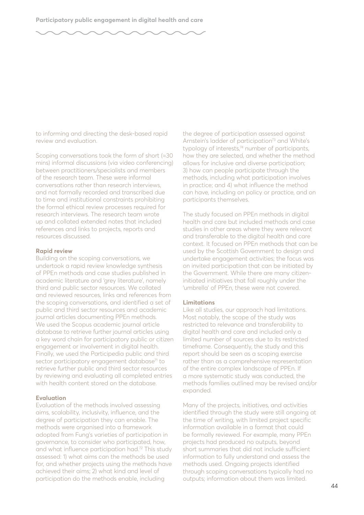

to informing and directing the desk-based rapid review and evaluation.

Scoping conversations took the form of short (≈30 mins) informal discussions (via video conferencing) between practitioners/specialists and members of the research team. These were informal conversations rather than research interviews, and not formally recorded and transcribed due to time and institutional constraints prohibiting the formal ethical review processes required for research interviews. The research team wrote up and collated extended notes that included references and links to projects, reports and resources discussed.

#### **Rapid review**

Building on the scoping conversations, we undertook a rapid review knowledge synthesis of PPEn methods and case studies published in academic literature and 'grey literature', namely third and public sector resources. We collated and reviewed resources, links and references from the scoping conversations, and identified a set of public and third sector resources and academic journal articles documenting PPEn methods. We used the Scopus academic journal article database to retrieve further journal articles using a key word chain for participatory public or citizen engagement or involvement in digital health. Finally, we used the Participedia public and third sector participatory engagement database<sup>71</sup> to retrieve further public and third sector resources by reviewing and evaluating all completed entries with health content stored on the database.

#### **Evaluation**

Evaluation of the methods involved assessing aims, scalability, inclusivity, influence, and the degree of participation they can enable. The methods were organised into a framework adopted from Fung's varieties of participation in governance, to consider who participated, how, and what influence participation had.72 This study assessed: 1) what aims can the methods be used for, and whether projects using the methods have achieved their aims; 2) what kind and level of participation do the methods enable, including

the degree of participation assessed against Arnstein's ladder of participation<sup>73</sup> and White's typology of interests, $74$  number of participants, how they are selected, and whether the method allows for inclusive and diverse participation; 3) how can people participate through the methods, including what participation involves in practice; and 4) what influence the method can have, including on policy or practice, and on participants themselves.

The study focused on PPEn methods in digital health and care but included methods and case studies in other areas where they were relevant and transferable to the digital health and care context. It focused on PPEn methods that can be used by the Scottish Government to design and undertake engagement activities; the focus was on invited participation that can be initiated by the Government. While there are many citizeninitiated initiatives that fall roughly under the 'umbrella' of PPEn, these were not covered.

#### **Limitations**

Like all studies, our approach had limitations. Most notably, the scope of the study was restricted to relevance and transferability to digital health and care and included only a limited number of sources due to its restricted timeframe. Consequently, the study and this report should be seen as a scoping exercise rather than as a comprehensive representation of the entire complex landscape of PPEn. If a more systematic study was conducted, the methods families outlined may be revised and/or expanded.

Many of the projects, initiatives, and activities identified through the study were still ongoing at the time of writing, with limited project specific information available in a format that could be formally reviewed. For example, many PPEn projects had produced no outputs, beyond short summaries that did not include sufficient information to fully understand and assess the methods used. Ongoing projects identified through scoping conversations typically had no outputs; information about them was limited.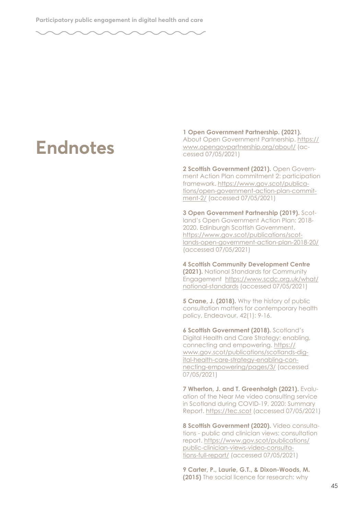### **Endnotes**

**1 Open Government Partnership. (2021).**  About Open Government Partnership. [https://](https://www.opengovpartnership.org/about/) [www.opengovpartnership.org/about/](https://www.opengovpartnership.org/about/) (accessed 07/05/2021)

**2 Scottish Government (2021).** Open Government Action Plan commitment 2: participation framework. [https://www.gov.scot/publica](https://www.gov.scot/publications/open-government-action-plan-commitment-2/)[tions/open-government-action-plan-commit](https://www.gov.scot/publications/open-government-action-plan-commitment-2/)[ment-2/](https://www.gov.scot/publications/open-government-action-plan-commitment-2/) (accessed 07/05/2021)

**3 Open Government Partnership (2019).** Scotland's Open Government Action Plan: 2018- 2020. Edinburgh Scottish Government. [https://www.gov.scot/publications/scot](https://www.gov.scot/publications/scotlands-open-government-action-plan-2018-20/)[lands-open-government-action-plan-2018-20/](https://www.gov.scot/publications/scotlands-open-government-action-plan-2018-20/) (accessed 07/05/2021)

**4 Scottish Community Development Centre (2021).** National Standards for Community Engagement [https://www.scdc.org.uk/what/](https://www.scdc.org.uk/what/national-standards) [national-standards](https://www.scdc.org.uk/what/national-standards) (accessed 07/05/2021)

**5 Crane, J. (2018).** Why the history of public consultation matters for contemporary health policy, Endeavour, 42(1): 9-16.

**6 Scottish Government (2018).** Scotland's Digital Health and Care Strategy: enabling, connecting and empowering. [https://](https://www.gov.scot/publications/scotlands-digital-health-care-strategy-enabling-connecting-empowering/pages/3/) [www.gov.scot/publications/scotlands-dig](https://www.gov.scot/publications/scotlands-digital-health-care-strategy-enabling-connecting-empowering/pages/3/)[ital-health-care-strategy-enabling-con](https://www.gov.scot/publications/scotlands-digital-health-care-strategy-enabling-connecting-empowering/pages/3/)[necting-empowering/pages/3/](https://www.gov.scot/publications/scotlands-digital-health-care-strategy-enabling-connecting-empowering/pages/3/) (accessed 07/05/2021)

**7 Wherton, J. and T. Greenhalgh (2021).** Evaluation of the Near Me video consulting service in Scotland during COVID-19, 2020: Summary Report.<https://tec.scot> (accessed 07/05/2021)

**8 Scottish Government (2020).** Video consultations - public and clinician views: consultation report. [https://www.gov.scot/publications/](https://www.gov.scot/publications/public-clinician-views-video-consultations-full-report/) [public-clinician-views-video-consulta](https://www.gov.scot/publications/public-clinician-views-video-consultations-full-report/)[tions-full-report/](https://www.gov.scot/publications/public-clinician-views-video-consultations-full-report/) (accessed 07/05/2021)

**9 Carter, P., Laurie, G.T., & Dixon-Woods, M. (2015)** The social licence for research: why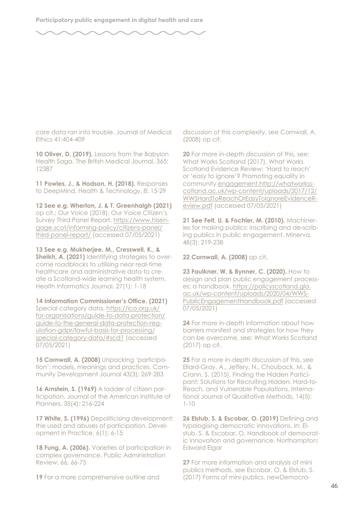care data ran into trouble. Journal of Medical Ethics 41:404-409

**10 Oliver, D. (2019).** Lessons from the Babylon Health Saga. The British Medical Journal, 365: 12387

**11 Powles, J., & Hodson, H. (2018).** Responses to DeepMind. Health & Technology, 8: 15-29

**12 See e.g. Wherton, J. & T. Greenhalgh (2021)** op cit.; Our Voice (2018). Our Voice Citizen's Survey Third Panel Report. [https://www.hisen](https://www.hisengage.scot/informing-policy/citizens-panel/third-panel-report/)[gage.scot/informing-policy/citizens-panel/](https://www.hisengage.scot/informing-policy/citizens-panel/third-panel-report/) [third-panel-report/](https://www.hisengage.scot/informing-policy/citizens-panel/third-panel-report/) (accessed 07/05/2021)

**13 See e.g. Mukherjee, M., Cresswell, K., & Sheikh, A. (2021)** Identifying strategies to overcome roadblocks to utilising near real-time healthcare and administrative data to create a Scotland-wide learning health system. Health Informatics Journal, 27(1): 1-18

14 Information Commissioner's Office. (2021) Special category data. [https://ico.org.uk/](https://ico.org.uk/for-organisations/guide-to-data-protection/guide-to-the-general-data-protection-regulation-gdpr/lawful-basis-for-processing/special-category-data/#scd1) [for-organisations/guide-to-data-protection/](https://ico.org.uk/for-organisations/guide-to-data-protection/guide-to-the-general-data-protection-regulation-gdpr/lawful-basis-for-processing/special-category-data/#scd1) [guide-to-the-general-data-protection-reg](https://ico.org.uk/for-organisations/guide-to-data-protection/guide-to-the-general-data-protection-regulation-gdpr/lawful-basis-for-processing/special-category-data/#scd1)[ulation-gdpr/lawful-basis-for-processing/](https://ico.org.uk/for-organisations/guide-to-data-protection/guide-to-the-general-data-protection-regulation-gdpr/lawful-basis-for-processing/special-category-data/#scd1) [special-category-data/#scd1](https://ico.org.uk/for-organisations/guide-to-data-protection/guide-to-the-general-data-protection-regulation-gdpr/lawful-basis-for-processing/special-category-data/#scd1) (accessed 07/05/2021)

**15 Cornwall, A. (2008)** Unpacking 'participation': models, meanings and practices. Community Development Journal 43(3): 269-283

**16 Arnstein, S. (1969)** A ladder of citizen participation. Journal of the American Institute of Planners, 35(4): 216-224

**17 White, S. (1996)** Depoliticising development: the used and abuses of participation. Development in Practice, 6(1): 6-15

**18 Fung, A. (2006).** Varieties of participation in complex governance. Public Administration Review, 66, 66-75

**19** For a more comprehensive outline and

discussion of this complexity, see Cornwall, A. (2008) op cit.

**20** For more in-depth discussion of this, see: What Works Scotland (2017). What Works Scotland Evidence Review: 'Hard to reach' or 'easy to ignore'? Promoting equality in community [engagement.http://whatworkss](engagement.http://whatworksscotland.ac.uk/wp-content/uploads/2017/12/WWSHardToReachOrEasyToIgnoreEvidenceReview.pdf)[cotland.ac.uk/wp-content/uploads/2017/12/](engagement.http://whatworksscotland.ac.uk/wp-content/uploads/2017/12/WWSHardToReachOrEasyToIgnoreEvidenceReview.pdf) [WWSHardToReachOrEasyToIgnoreEvidenceR](engagement.http://whatworksscotland.ac.uk/wp-content/uploads/2017/12/WWSHardToReachOrEasyToIgnoreEvidenceReview.pdf)[eview.pdf](engagement.http://whatworksscotland.ac.uk/wp-content/uploads/2017/12/WWSHardToReachOrEasyToIgnoreEvidenceReview.pdf) (accessed 07/05/2021)

**21 See Felt, U. & Fochler, M. (2010).** Machineries for making publics: inscribing and de-scribing publics in public engagement. Minerva, 48(3): 219-238

**22 Cornwall, A. (2008)** op cit.

**23 Faulkner, W. & Bynner, C. (2020).** How to design and plan public engagement processes: a handbook. [https://policyscotland.gla.](https://policyscotland.gla.ac.uk/wp-content/uploads/2020/04/WWSPublicEngagementHandbook.pdf) [ac.uk/wp-content/uploads/2020/04/WWS-](https://policyscotland.gla.ac.uk/wp-content/uploads/2020/04/WWSPublicEngagementHandbook.pdf)[PublicEngagementHandbook.pdf](https://policyscotland.gla.ac.uk/wp-content/uploads/2020/04/WWSPublicEngagementHandbook.pdf) (accessed 07/05/2021)

**24** For more in-depth information about how barriers manifest and strategies for how they can be overcome, see: What Works Scotland (2017) op cit.

**25** For a more in-depth discussion of this, see Ellard-Gray, A., Jeffery, N., Chouback, M., & Crann, S. (2015). Finding the Hidden Participant: Solutions for Recruiting Hidden, Hard-to-Reach, and Vulnerable Populations. International Journal of Qualitative Methods, 14(5): 1-10

**26 Elstub, S. & Escobar, O. (2019)** Defning and typologising democratic innovations. In: Elstub, S. & Escobar, O. Handbook of democratic innovation and governance. Northampton: Edward Elaar

**27** For more information and analysis of mini publics methods, see Escobar, O. & Elstub, S. (2017) Forms of mini-publics. newDemocra-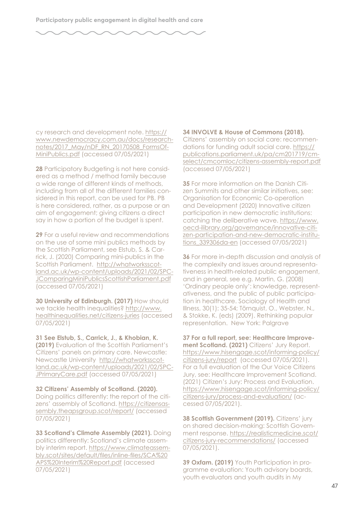cy research and development note. [https://](https://www.newdemocracy.com.au/docs/researchnotes/2017_May/nDF_RN_20170508_FormsOfMiniPublics.pdf) [www.newdemocracy.com.au/docs/research](https://www.newdemocracy.com.au/docs/researchnotes/2017_May/nDF_RN_20170508_FormsOfMiniPublics.pdf)[notes/2017\\_May/nDF\\_RN\\_20170508\\_FormsOf-](https://www.newdemocracy.com.au/docs/researchnotes/2017_May/nDF_RN_20170508_FormsOfMiniPublics.pdf)[MiniPublics.pdf](https://www.newdemocracy.com.au/docs/researchnotes/2017_May/nDF_RN_20170508_FormsOfMiniPublics.pdf) (accessed 07/05/2021)

**28** Participatory Budgeting is not here considered as a method / method family because a wide range of different kinds of methods, including from all of the different families considered in this report, can be used for PB. PB is here considered, rather, as a purpose or an aim of engagement; giving citizens a direct say in how a portion of the budget is spent.

**29** For a useful review and recommendations on the use of some mini publics methods by the Scottish Parliament, see Elstub, S. & Carrick, J. (2020) Comparing mini-publics in the Scottish Parliament. [http://whatworksscot](http://whatworksscotland.ac.uk/wp-content/uploads/2021/02/SPCJComparingMiniPublicsScottishParliament.pdf)[land.ac.uk/wp-content/uploads/2021/02/SPC-](http://whatworksscotland.ac.uk/wp-content/uploads/2021/02/SPCJComparingMiniPublicsScottishParliament.pdf)[JComparingMiniPublicsScottishParliament.pdf](http://whatworksscotland.ac.uk/wp-content/uploads/2021/02/SPCJComparingMiniPublicsScottishParliament.pdf)  (accessed 07/05/2021)

**30 University of Edinburgh. (2017)** How should we tackle health inequalities? [http://www.](http://www.healthinequalities.net/citizens-juries) [healthinequalities.net/citizens-juries](http://www.healthinequalities.net/citizens-juries) (accessed 07/05/2021)

**31 See Elstub, S., Carrick, J., & Khobian, K. (2019)** Evaluation of the Scottish Parliament's Citizens' panels on primary care. Newcastle: Newcastle University [http://whatworksscot](http://whatworksscotland.ac.uk/wp-content/uploads/2021/02/SPCJPrimaryCare.pdf)[land.ac.uk/wp-content/uploads/2021/02/SPC-](http://whatworksscotland.ac.uk/wp-content/uploads/2021/02/SPCJPrimaryCare.pdf)[JPrimaryCare.pdf](http://whatworksscotland.ac.uk/wp-content/uploads/2021/02/SPCJPrimaryCare.pdf) (accessed 07/05/2021)

**32 Citizens' Assembly of Scotland. (2020).**  Doing politics differently: the report of the citizens' assembly of Scotland. [https://citizensas](https://citizensassembly.theapsgroup.scot/report/)[sembly.theapsgroup.scot/report/](https://citizensassembly.theapsgroup.scot/report/) (accessed 07/05/2021)

**33 Scotland's Climate Assembly (2021).** Doing politics differently: Scotland's climate assembly interim report. [https://www.climateassem](https://www.climateassembly.scot/sites/default/files/inline-files/SCA%20APS%20Interim%20Report.pdf)[bly.scot/sites/default/fles/inline-fles/SCA%20](https://www.climateassembly.scot/sites/default/files/inline-files/SCA%20APS%20Interim%20Report.pdf) [APS%20Interim%20Report.pdf](https://www.climateassembly.scot/sites/default/files/inline-files/SCA%20APS%20Interim%20Report.pdf) (accessed 07/05/2021)

**34 INVOLVE & House of Commons (2018).**  Citizens' assembly on social care: recommendations for funding adult social care. [https://](https://publications.parliament.uk/pa/cm201719/cmselect/cmcomloc/citizens-assembly-report.pdf) [publications.parliament.uk/pa/cm201719/cm](https://publications.parliament.uk/pa/cm201719/cmselect/cmcomloc/citizens-assembly-report.pdf)[select/cmcomloc/citizens-assembly-report.pdf](https://publications.parliament.uk/pa/cm201719/cmselect/cmcomloc/citizens-assembly-report.pdf)  (accessed 07/05/2021)

**35** For more information on the Danish Citizen Summits and other similar initiatives, see: Organisation for Economic Co-operation and Development (2020) Innovative citizen participation in new democratic institutions: catching the deliberative wave. [https://www.](https://www.oecd-ilibrary.org/governance/innovative-citizen-participation-and-new-democratic-institutions_339306da-en) [oecd-ilibrary.org/governance/innovative-citi](https://www.oecd-ilibrary.org/governance/innovative-citizen-participation-and-new-democratic-institutions_339306da-en)[zen-participation-and-new-democratic-institu](https://www.oecd-ilibrary.org/governance/innovative-citizen-participation-and-new-democratic-institutions_339306da-en)[tions\\_339306da-en](https://www.oecd-ilibrary.org/governance/innovative-citizen-participation-and-new-democratic-institutions_339306da-en) (accessed 07/05/2021)

**36** For more in-depth discussion and analysis of the complexity and issues around representativeness in health-related public engagement, and in general, see e.g. Martin, G. (2008) 'Ordinary people only': knowledge, representativeness, and the public of public participation in healthcare. Sociology of Health and Illness, 30(1): 35-54; Törnquist, O., Webster, N., & Stokke, K. (eds) (2009). Rethinking popular representation. New York: Palgrave

**37 For a full report, see: Healthcare Improvement Scotland. (2021)** Citizens' Jury Report. [https://www.hisengage.scot/informing-policy/](https://www.hisengage.scot/informing-policy/citizens-jury/report) [citizens-jury/report](https://www.hisengage.scot/informing-policy/citizens-jury/report) (accessed 07/05/2021). For a full evaluation of the Our Voice Citizens Jury, see: Healthcare Improvement Scotland. (2021) Citizen's Jury: Process and Evaluation. [https://www.hisengage.scot/informing-policy/](https://www.hisengage.scot/informing-policy/citizens-jury/process-and-evaluation/) [citizens-jury/process-and-evaluation/](https://www.hisengage.scot/informing-policy/citizens-jury/process-and-evaluation/) (accessed 07/05/2021).

**38 Scottish Government (2019).** Citizens' jury on shared decision-making: Scottish Government response. [https://realisticmedicine.scot/](https://realisticmedicine.scot/citizens-jury-recommendations/) [citizens-jury-recommendations/](https://realisticmedicine.scot/citizens-jury-recommendations/) (accessed 07/05/2021).

**39 Oxfam. (2019)** Youth Participation in programme evaluation: Youth advisory boards, youth evaluators and youth audits in My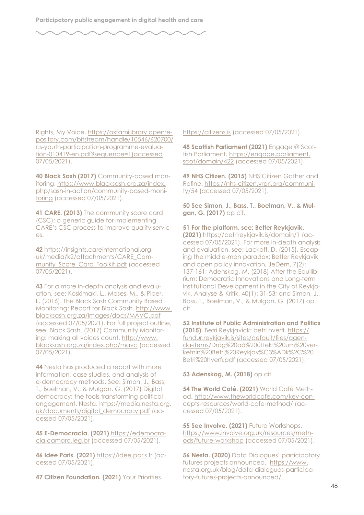

Rights, My Voice. [https://oxfamilibrary.openre](https://oxfamilibrary.openrepository.com/bitstream/handle/10546/620700/cs-youth-participation-programme-evaluation-010419-en.pdf?sequence=1(accessed)[pository.com/bitstream/handle/10546/620700/](https://oxfamilibrary.openrepository.com/bitstream/handle/10546/620700/cs-youth-participation-programme-evaluation-010419-en.pdf?sequence=1(accessed) [cs-youth-participation-programme-evalua](https://oxfamilibrary.openrepository.com/bitstream/handle/10546/620700/cs-youth-participation-programme-evaluation-010419-en.pdf?sequence=1(accessed)[tion-010419-en.pdf?sequence=1\(accessed](https://oxfamilibrary.openrepository.com/bitstream/handle/10546/620700/cs-youth-participation-programme-evaluation-010419-en.pdf?sequence=1(accessed) 07/05/2021).

**40 Black Sash (2017)** Community-based monitoring. [https://www.blacksash.org.za/index.](https://www.blacksash.org.za/index.php/sash-in-action/community-based-monitoring) [php/sash-in-action/community-based-moni](https://www.blacksash.org.za/index.php/sash-in-action/community-based-monitoring)[toring](https://www.blacksash.org.za/index.php/sash-in-action/community-based-monitoring) (accessed 07/05/2021).

**41 CARE. (2013)** The community score card (CSC): a generic guide for implementing CARE's CSC process to improve quality services.

**42** [https://insights.careinternational.org.](https://insights.careinternational.org.uk/media/k2/attachments/CARE_Community_Score_Card_Toolkit.pdf) [uk/media/k2/attachments/CARE\\_Com](https://insights.careinternational.org.uk/media/k2/attachments/CARE_Community_Score_Card_Toolkit.pdf)[munity\\_Score\\_Card\\_Toolkit.pdf](https://insights.careinternational.org.uk/media/k2/attachments/CARE_Community_Score_Card_Toolkit.pdf) (accessed 07/05/2021).

**43** For a more in-depth analysis and evaluation, see: Koskimaki, L., Moses, M., & Piper, L. (2016). The Black Sash Community Based Monitoring: Report for Black Sash. [http://www.](http://www.blacksash.org.za/images/docs/MAVC.pdf) [blacksash.org.za/images/docs/MAVC.pdf](http://www.blacksash.org.za/images/docs/MAVC.pdf)  (accessed 07/05/2021). For full project outline, see: Black Sash. (2017) Community Monitoring: making all voices count. [http://www.](http://www.blacksash.org.za/index.php/mavc) [blacksash.org.za/index.php/mavc](http://www.blacksash.org.za/index.php/mavc) (accessed 07/05/2021).

**44** Nesta has produced a report with more information, case studies, and analysis of e-democracy methods. See: Simon, J., Bass, T., Boelman, V., & Mulgan, G. (2017) Digital democracy: the tools transforming political engagement. Nesta. [https://media.nesta.org.](https://media.nesta.org.uk/documents/digital_democracy.pdf) [uk/documents/digital\\_democracy.pdf](https://media.nesta.org.uk/documents/digital_democracy.pdf) (accessed 07/05/2021).

**45 E-Democracia. (2021)** [https://edemocra](https://edemocracia.camara.leg.br)[cia.camara.leg.br](https://edemocracia.camara.leg.br) (accessed 07/05/2021).

**46 Idee Paris. (2021)**<https://idee.paris.fr> (accessed 07/05/2021).

**47 Citizen Foundation. (2021)** Your Priorities.

<https://citizens.is>(accessed 07/05/2021).

**48 Scottish Parliament (2021)** Engage @ Scottish Parliament. [https://engage.parliament.](https://engage.parliament.scot/domain/422) [scot/domain/422](https://engage.parliament.scot/domain/422) (accessed 07/05/2021).

**49 NHS Citizen. (2015)** NHS Citizen Gather and Refne. [https://nhs-citizen.yrpri.org/communi](https://nhs-citizen.yrpri.org/community/54)[ty/54](https://nhs-citizen.yrpri.org/community/54) (accessed 07/05/2021).

**50 See Simon, J., Bass, T., Boelman, V., & Mulgan, G. (2017)** op cit.

**51 For the platform, see: Better Reykjavik. (2021)** <https://betrireykjavik.is/domain/1>(accessed 07/05/2021). For more in-depth analysis and evaluation, see: Lackaff, D. (2015). Escaping the middle-man paradox: Better Reykjavik and open policy innovation, JeDem, 7(2): 137-161; Adenskog, M. (2018) After the Equilibrium: Democratic Innovations and Long-term Institutional Development in the City of Reykjavik, Analyse & Kritik, 40(1): 31-53; and Simon, J., Bass, T., Boelman, V., & Mulgan, G. (2017) op cit.

**52 Institute of Public Administration and Politics (2015).** Betri Reykjavíck: betri hverf. [https://](https://fundur.reykjavik.is/sites/default/files/agenda-items) [fundur.reykjavik.is/sites/default/fles/agen](https://fundur.reykjavik.is/sites/default/files/agenda-items)[da-items](https://fundur.reykjavik.is/sites/default/files/agenda-items)/Drög%20að%20úttekt%20um%20verkefnin%20Betri%20Reykjav%C3%ADk%2C%20 Betri%20hverf.pdf (accessed 07/05/2021).

**53 Adenskog, M. (2018)** op cit.

**54 The World Café. (2021)** World Café Method. [http://www.theworldcafe.com/key-con](http://www.theworldcafe.com/key-concepts-resources/world-cafe-method/)[cepts-resources/world-cafe-method/](http://www.theworldcafe.com/key-concepts-resources/world-cafe-method/) (accessed 07/05/2021).

**55 See Involve. (2021)** Future Workshops. [https://www.involve.org.uk/resources/meth](https://www.involve.org.uk/resources/methods/future-workshop)[ods/future-workshop](https://www.involve.org.uk/resources/methods/future-workshop) (accessed 07/05/2021).

**56 Nesta. (2020)** Data Dialogues' participatory futures projects announced. [https://www.](https://www.nesta.org.uk/blog/data-dialogues-participatory-futures-projects-announced/) [nesta.org.uk/blog/data-dialogues-participa](https://www.nesta.org.uk/blog/data-dialogues-participatory-futures-projects-announced/)[tory-futures-projects-announced/](https://www.nesta.org.uk/blog/data-dialogues-participatory-futures-projects-announced/)